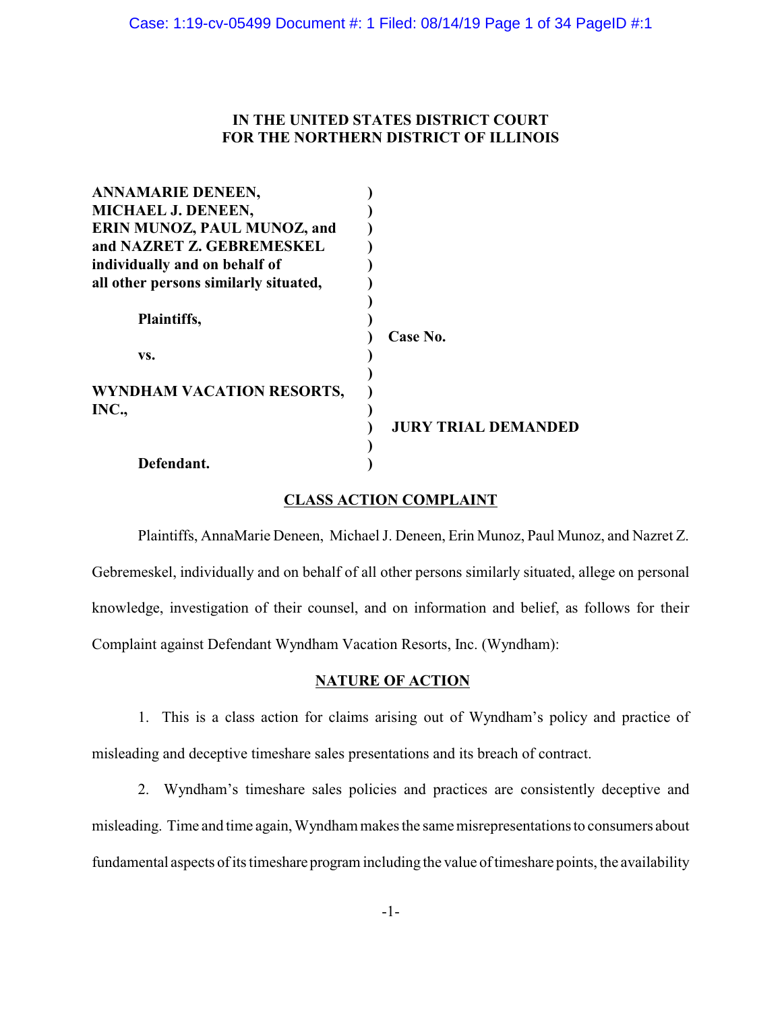## **IN THE UNITED STATES DISTRICT COURT FOR THE NORTHERN DISTRICT OF ILLINOIS**

| <b>ANNAMARIE DENEEN,</b>              |                            |
|---------------------------------------|----------------------------|
| MICHAEL J. DENEEN,                    |                            |
| ERIN MUNOZ, PAUL MUNOZ, and           |                            |
| and NAZRET Z. GEBREMESKEL             |                            |
| individually and on behalf of         |                            |
| all other persons similarly situated, |                            |
|                                       |                            |
| Plaintiffs,                           |                            |
|                                       | Case No.                   |
| VS.                                   |                            |
|                                       |                            |
| WYNDHAM VACATION RESORTS,             |                            |
| INC.,                                 |                            |
|                                       | <b>JURY TRIAL DEMANDED</b> |
|                                       |                            |
| Defendant.                            |                            |

## **CLASS ACTION COMPLAINT**

Plaintiffs, AnnaMarie Deneen, Michael J. Deneen, Erin Munoz, Paul Munoz, and Nazret Z. Gebremeskel, individually and on behalf of all other persons similarly situated, allege on personal knowledge, investigation of their counsel, and on information and belief, as follows for their Complaint against Defendant Wyndham Vacation Resorts, Inc. (Wyndham):

### **NATURE OF ACTION**

1. This is a class action for claims arising out of Wyndham's policy and practice of misleading and deceptive timeshare sales presentations and its breach of contract.

2. Wyndham's timeshare sales policies and practices are consistently deceptive and misleading. Time and time again, Wyndham makes the same misrepresentations to consumers about fundamental aspects of its timeshare program including the value of timeshare points, the availability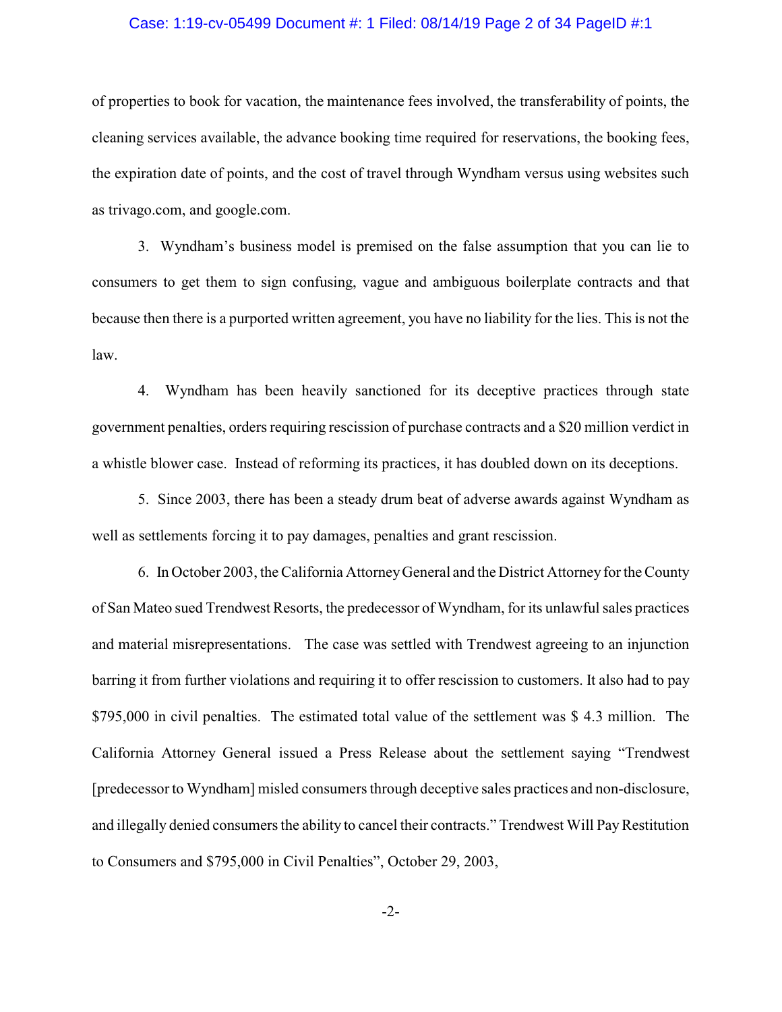### Case: 1:19-cv-05499 Document #: 1 Filed: 08/14/19 Page 2 of 34 PageID #:1

of properties to book for vacation, the maintenance fees involved, the transferability of points, the cleaning services available, the advance booking time required for reservations, the booking fees, the expiration date of points, and the cost of travel through Wyndham versus using websites such as trivago.com, and google.com.

3. Wyndham's business model is premised on the false assumption that you can lie to consumers to get them to sign confusing, vague and ambiguous boilerplate contracts and that because then there is a purported written agreement, you have no liability for the lies. This is not the law.

4. Wyndham has been heavily sanctioned for its deceptive practices through state government penalties, orders requiring rescission of purchase contracts and a \$20 million verdict in a whistle blower case. Instead of reforming its practices, it has doubled down on its deceptions.

5. Since 2003, there has been a steady drum beat of adverse awards against Wyndham as well as settlements forcing it to pay damages, penalties and grant rescission.

6. In October 2003, the California AttorneyGeneral and the District Attorney for the County of San Mateo sued Trendwest Resorts, the predecessor of Wyndham, for its unlawful sales practices and material misrepresentations. The case was settled with Trendwest agreeing to an injunction barring it from further violations and requiring it to offer rescission to customers. It also had to pay \$795,000 in civil penalties. The estimated total value of the settlement was \$ 4.3 million. The California Attorney General issued a Press Release about the settlement saying "Trendwest [predecessor to Wyndham] misled consumers through deceptive sales practices and non-disclosure, and illegally denied consumers the ability to cancel their contracts." Trendwest Will PayRestitution to Consumers and \$795,000 in Civil Penalties", October 29, 2003,

-2-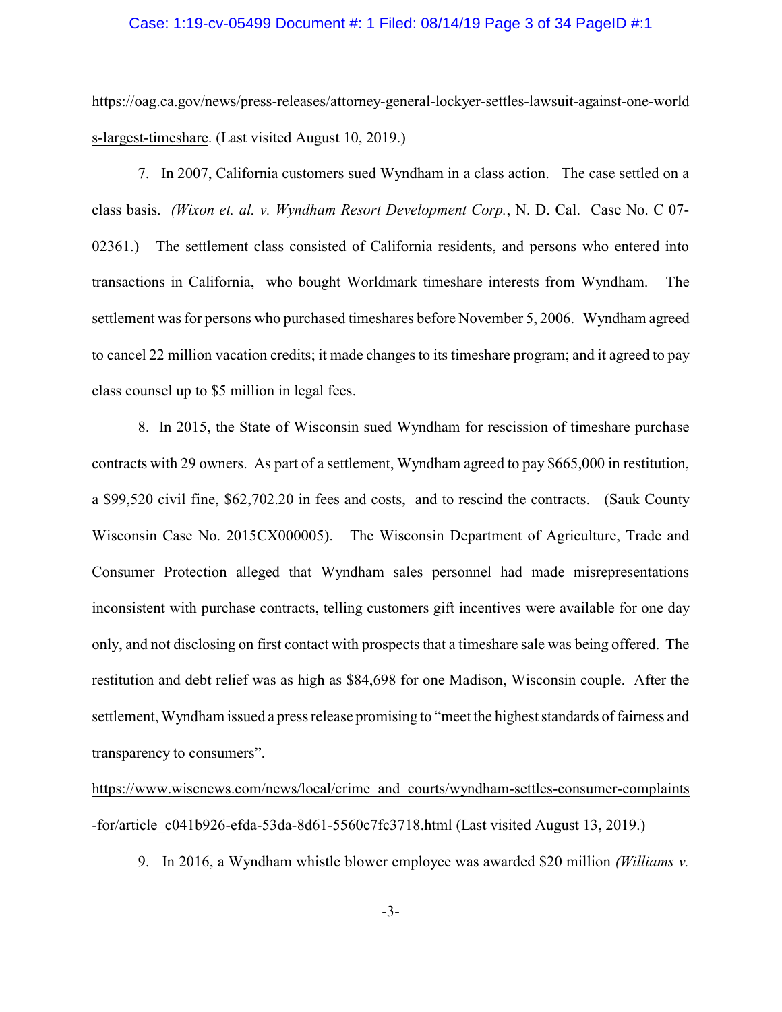### Case: 1:19-cv-05499 Document #: 1 Filed: 08/14/19 Page 3 of 34 PageID #:1

https://oag.ca.gov/news/press-releases/attorney-general-lockyer-settles-lawsuit-against-one-world s-largest-timeshare. (Last visited August 10, 2019.)

7. In 2007, California customers sued Wyndham in a class action. The case settled on a class basis. *(Wixon et. al. v. Wyndham Resort Development Corp.*, N. D. Cal. Case No. C 07- 02361.) The settlement class consisted of California residents, and persons who entered into transactions in California, who bought Worldmark timeshare interests from Wyndham. The settlement was for persons who purchased timeshares before November 5, 2006. Wyndham agreed to cancel 22 million vacation credits; it made changes to its timeshare program; and it agreed to pay class counsel up to \$5 million in legal fees.

8. In 2015, the State of Wisconsin sued Wyndham for rescission of timeshare purchase contracts with 29 owners. As part of a settlement, Wyndham agreed to pay \$665,000 in restitution, a \$99,520 civil fine, \$62,702.20 in fees and costs, and to rescind the contracts. (Sauk County Wisconsin Case No. 2015CX000005). The Wisconsin Department of Agriculture, Trade and Consumer Protection alleged that Wyndham sales personnel had made misrepresentations inconsistent with purchase contracts, telling customers gift incentives were available for one day only, and not disclosing on first contact with prospects that a timeshare sale was being offered. The restitution and debt relief was as high as \$84,698 for one Madison, Wisconsin couple. After the settlement, Wyndham issued a press release promising to "meet the highest standards of fairness and transparency to consumers".

https://www.wiscnews.com/news/local/crime\_and\_courts/wyndham-settles-consumer-complaints -for/article\_c041b926-efda-53da-8d61-5560c7fc3718.html (Last visited August 13, 2019.)

9. In 2016, a Wyndham whistle blower employee was awarded \$20 million *(Williams v.*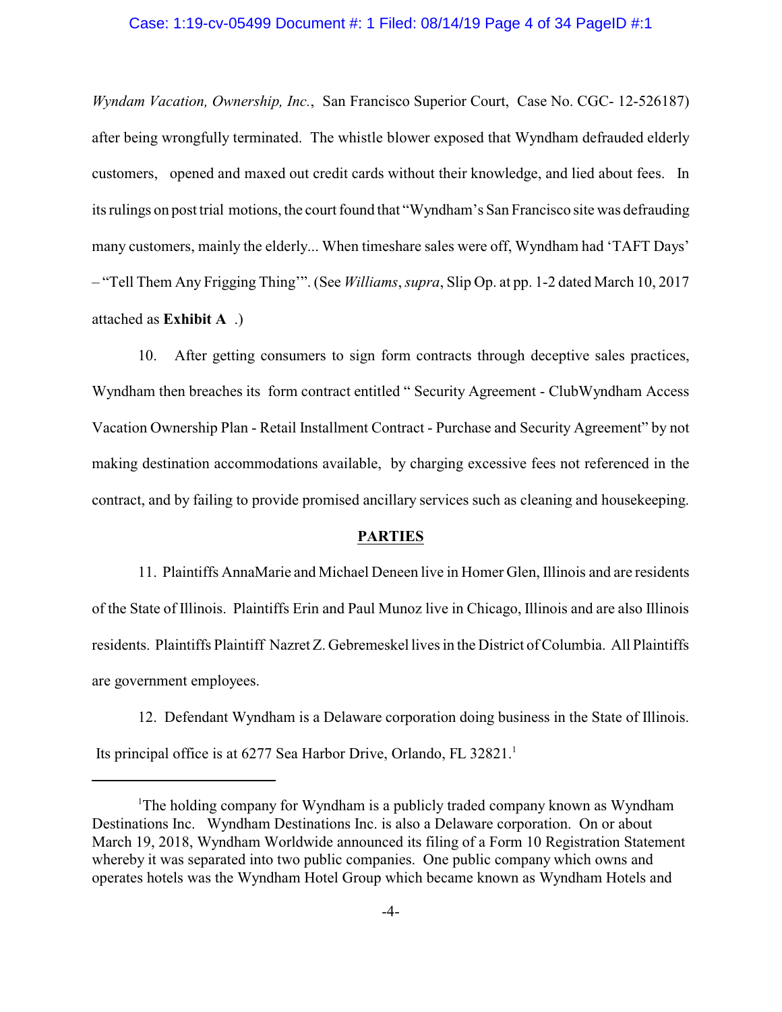### Case: 1:19-cv-05499 Document #: 1 Filed: 08/14/19 Page 4 of 34 PageID #:1

*Wyndam Vacation, Ownership, Inc.*, San Francisco Superior Court, Case No. CGC- 12-526187) after being wrongfully terminated. The whistle blower exposed that Wyndham defrauded elderly customers, opened and maxed out credit cards without their knowledge, and lied about fees. In its rulings on post trial motions, the court found that "Wyndham's San Francisco site was defrauding many customers, mainly the elderly... When timeshare sales were off, Wyndham had 'TAFT Days' – "Tell Them Any Frigging Thing'". (See *Williams*, *supra*, Slip Op. at pp. 1-2 dated March 10, 2017 attached as **Exhibit A** .)

10. After getting consumers to sign form contracts through deceptive sales practices, Wyndham then breaches its form contract entitled " Security Agreement - ClubWyndham Access Vacation Ownership Plan - Retail Installment Contract - Purchase and Security Agreement" by not making destination accommodations available, by charging excessive fees not referenced in the contract, and by failing to provide promised ancillary services such as cleaning and housekeeping.

### **PARTIES**

11. Plaintiffs AnnaMarie and Michael Deneen live in Homer Glen, Illinois and are residents of the State of Illinois. Plaintiffs Erin and Paul Munoz live in Chicago, Illinois and are also Illinois residents. Plaintiffs Plaintiff Nazret Z. Gebremeskel lives in the District of Columbia. All Plaintiffs are government employees.

12. Defendant Wyndham is a Delaware corporation doing business in the State of Illinois. Its principal office is at 6277 Sea Harbor Drive, Orlando, FL 32821.<sup>1</sup>

<sup>&</sup>lt;sup>1</sup>The holding company for Wyndham is a publicly traded company known as Wyndham Destinations Inc. Wyndham Destinations Inc. is also a Delaware corporation. On or about March 19, 2018, Wyndham Worldwide announced its filing of a Form 10 Registration Statement whereby it was separated into two public companies. One public company which owns and operates hotels was the Wyndham Hotel Group which became known as Wyndham Hotels and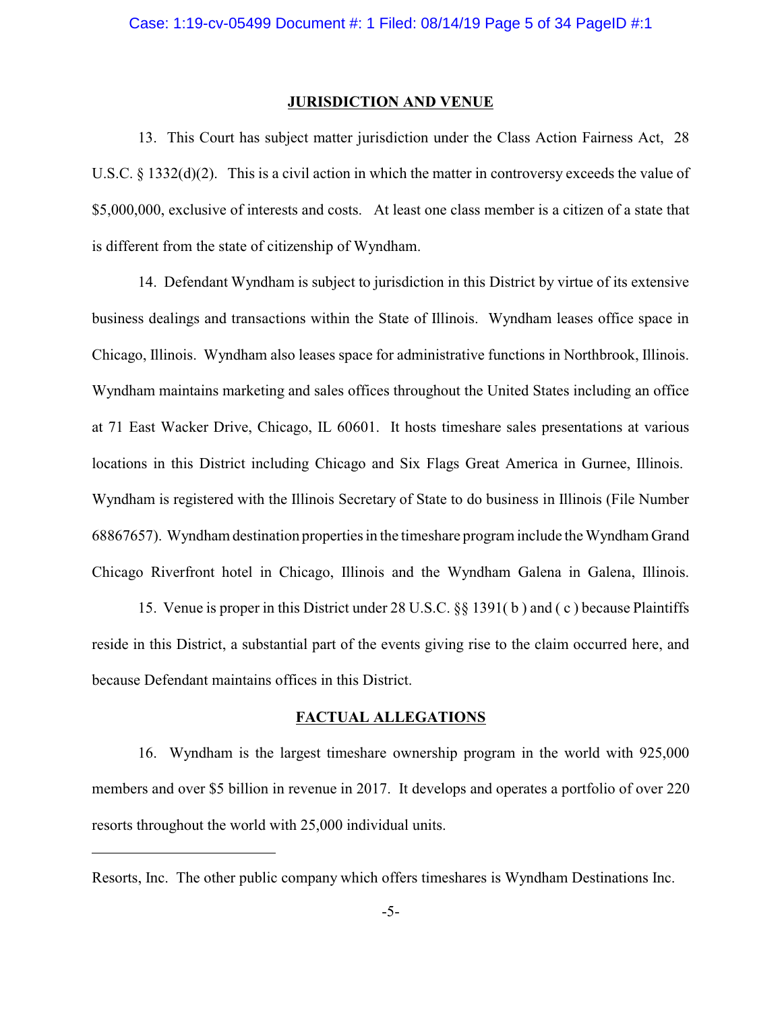#### **JURISDICTION AND VENUE**

13. This Court has subject matter jurisdiction under the Class Action Fairness Act, 28 U.S.C. § 1332(d)(2). This is a civil action in which the matter in controversy exceeds the value of \$5,000,000, exclusive of interests and costs. At least one class member is a citizen of a state that is different from the state of citizenship of Wyndham.

14. Defendant Wyndham is subject to jurisdiction in this District by virtue of its extensive business dealings and transactions within the State of Illinois. Wyndham leases office space in Chicago, Illinois. Wyndham also leases space for administrative functions in Northbrook, Illinois. Wyndham maintains marketing and sales offices throughout the United States including an office at 71 East Wacker Drive, Chicago, IL 60601. It hosts timeshare sales presentations at various locations in this District including Chicago and Six Flags Great America in Gurnee, Illinois. Wyndham is registered with the Illinois Secretary of State to do business in Illinois (File Number 68867657). Wyndham destination properties in the timeshare program include the Wyndham Grand Chicago Riverfront hotel in Chicago, Illinois and the Wyndham Galena in Galena, Illinois.

15. Venue is proper in this District under 28 U.S.C. §§ 1391( b ) and ( c ) because Plaintiffs reside in this District, a substantial part of the events giving rise to the claim occurred here, and because Defendant maintains offices in this District.

## **FACTUAL ALLEGATIONS**

16. Wyndham is the largest timeshare ownership program in the world with 925,000 members and over \$5 billion in revenue in 2017. It develops and operates a portfolio of over 220 resorts throughout the world with 25,000 individual units.

Resorts, Inc. The other public company which offers timeshares is Wyndham Destinations Inc.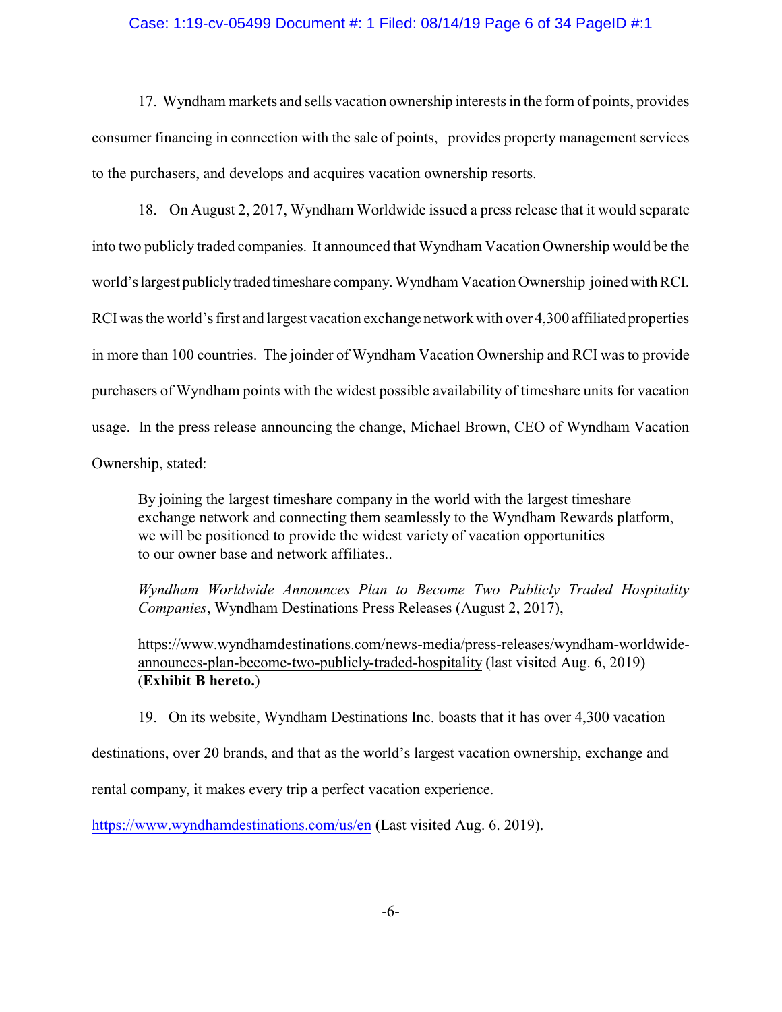### Case: 1:19-cv-05499 Document #: 1 Filed: 08/14/19 Page 6 of 34 PageID #:1

17. Wyndham markets and sells vacation ownership interests in the form of points, provides consumer financing in connection with the sale of points, provides property management services to the purchasers, and develops and acquires vacation ownership resorts.

18. On August 2, 2017, Wyndham Worldwide issued a press release that it would separate into two publicly traded companies. It announced that Wyndham Vacation Ownership would be the world'slargest publiclytraded timeshare company. Wyndham Vacation Ownership joined with RCI. RCIwas the world's first and largest vacation exchange network with over 4,300 affiliated properties in more than 100 countries. The joinder of Wyndham Vacation Ownership and RCI was to provide purchasers of Wyndham points with the widest possible availability of timeshare units for vacation usage. In the press release announcing the change, Michael Brown, CEO of Wyndham Vacation Ownership, stated:

By joining the largest timeshare company in the world with the largest timeshare exchange network and connecting them seamlessly to the Wyndham Rewards platform, we will be positioned to provide the widest variety of vacation opportunities to our owner base and network affiliates..

*Wyndham Worldwide Announces Plan to Become Two Publicly Traded Hospitality Companies*, Wyndham Destinations Press Releases (August 2, 2017),

https://www.wyndhamdestinations.com/news-media/press-releases/wyndham-worldwideannounces-plan-become-two-publicly-traded-hospitality (last visited Aug. 6, 2019) (**Exhibit B hereto.**)

19. On its website, Wyndham Destinations Inc. boasts that it has over 4,300 vacation

destinations, over 20 brands, and that as the world's largest vacation ownership, exchange and

rental company, it makes every trip a perfect vacation experience.

<https://www.wyndhamdestinations.com/us/en> (Last visited Aug. 6. 2019).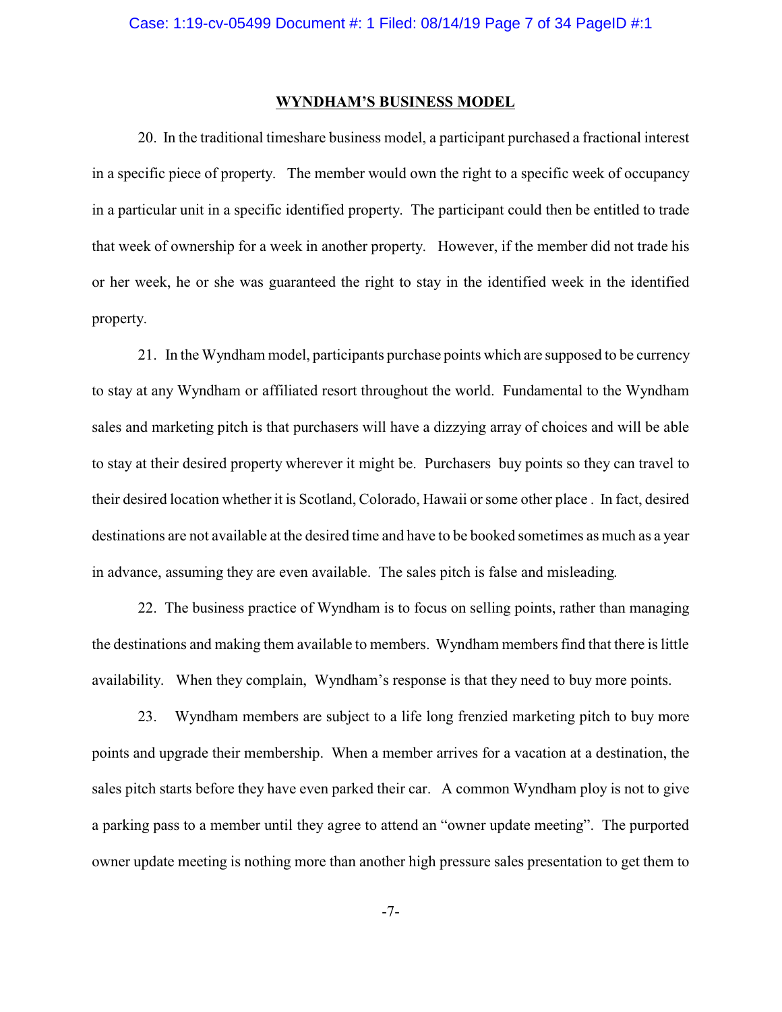#### **WYNDHAM'S BUSINESS MODEL**

20. In the traditional timeshare business model, a participant purchased a fractional interest in a specific piece of property. The member would own the right to a specific week of occupancy in a particular unit in a specific identified property. The participant could then be entitled to trade that week of ownership for a week in another property. However, if the member did not trade his or her week, he or she was guaranteed the right to stay in the identified week in the identified property.

21. In the Wyndham model, participants purchase points which are supposed to be currency to stay at any Wyndham or affiliated resort throughout the world. Fundamental to the Wyndham sales and marketing pitch is that purchasers will have a dizzying array of choices and will be able to stay at their desired property wherever it might be. Purchasers buy points so they can travel to their desired location whether it is Scotland, Colorado, Hawaii or some other place . In fact, desired destinations are not available at the desired time and have to be booked sometimes as much as a year in advance, assuming they are even available. The sales pitch is false and misleading.

22. The business practice of Wyndham is to focus on selling points, rather than managing the destinations and making them available to members. Wyndham members find that there is little availability. When they complain, Wyndham's response is that they need to buy more points.

23. Wyndham members are subject to a life long frenzied marketing pitch to buy more points and upgrade their membership. When a member arrives for a vacation at a destination, the sales pitch starts before they have even parked their car. A common Wyndham ploy is not to give a parking pass to a member until they agree to attend an "owner update meeting". The purported owner update meeting is nothing more than another high pressure sales presentation to get them to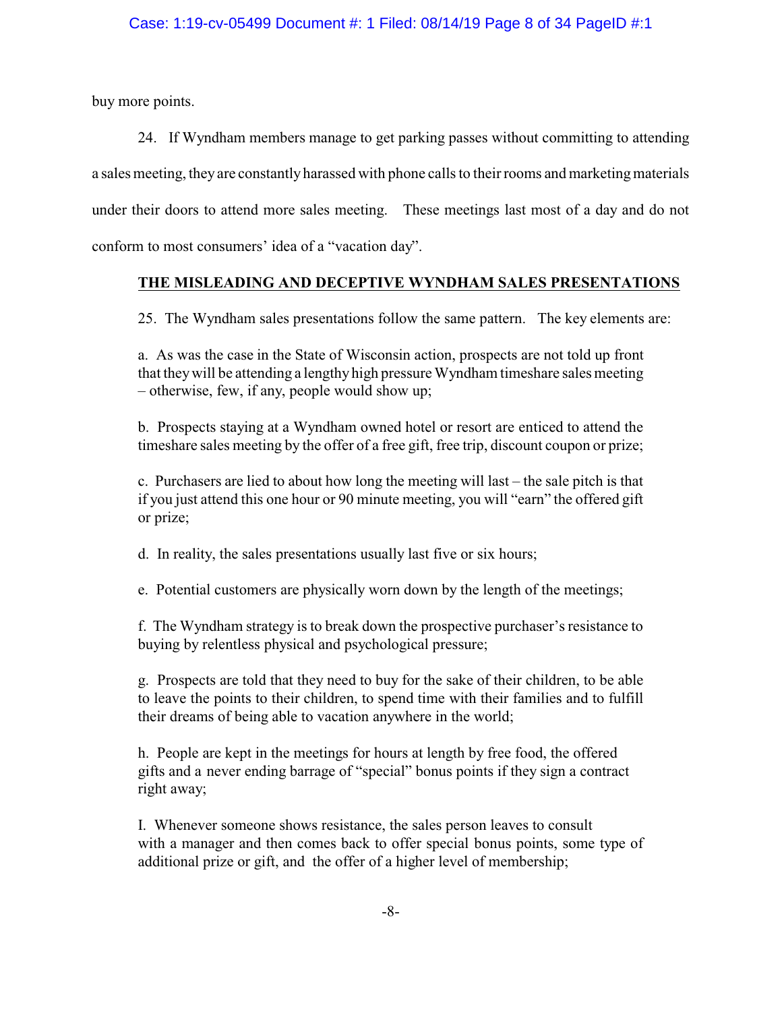buy more points.

24. If Wyndham members manage to get parking passes without committing to attending a sales meeting, they are constantly harassed with phone calls to their rooms and marketingmaterials under their doors to attend more sales meeting. These meetings last most of a day and do not conform to most consumers' idea of a "vacation day".

# **THE MISLEADING AND DECEPTIVE WYNDHAM SALES PRESENTATIONS**

25. The Wyndham sales presentations follow the same pattern. The key elements are:

a. As was the case in the State of Wisconsin action, prospects are not told up front that theywill be attending a lengthy high pressure Wyndham timeshare sales meeting – otherwise, few, if any, people would show up;

b. Prospects staying at a Wyndham owned hotel or resort are enticed to attend the timeshare sales meeting by the offer of a free gift, free trip, discount coupon or prize;

c. Purchasers are lied to about how long the meeting will last – the sale pitch is that if you just attend this one hour or 90 minute meeting, you will "earn" the offered gift or prize;

d. In reality, the sales presentations usually last five or six hours;

e. Potential customers are physically worn down by the length of the meetings;

f. The Wyndham strategy is to break down the prospective purchaser's resistance to buying by relentless physical and psychological pressure;

g. Prospects are told that they need to buy for the sake of their children, to be able to leave the points to their children, to spend time with their families and to fulfill their dreams of being able to vacation anywhere in the world;

h. People are kept in the meetings for hours at length by free food, the offered gifts and a never ending barrage of "special" bonus points if they sign a contract right away;

I. Whenever someone shows resistance, the sales person leaves to consult with a manager and then comes back to offer special bonus points, some type of additional prize or gift, and the offer of a higher level of membership;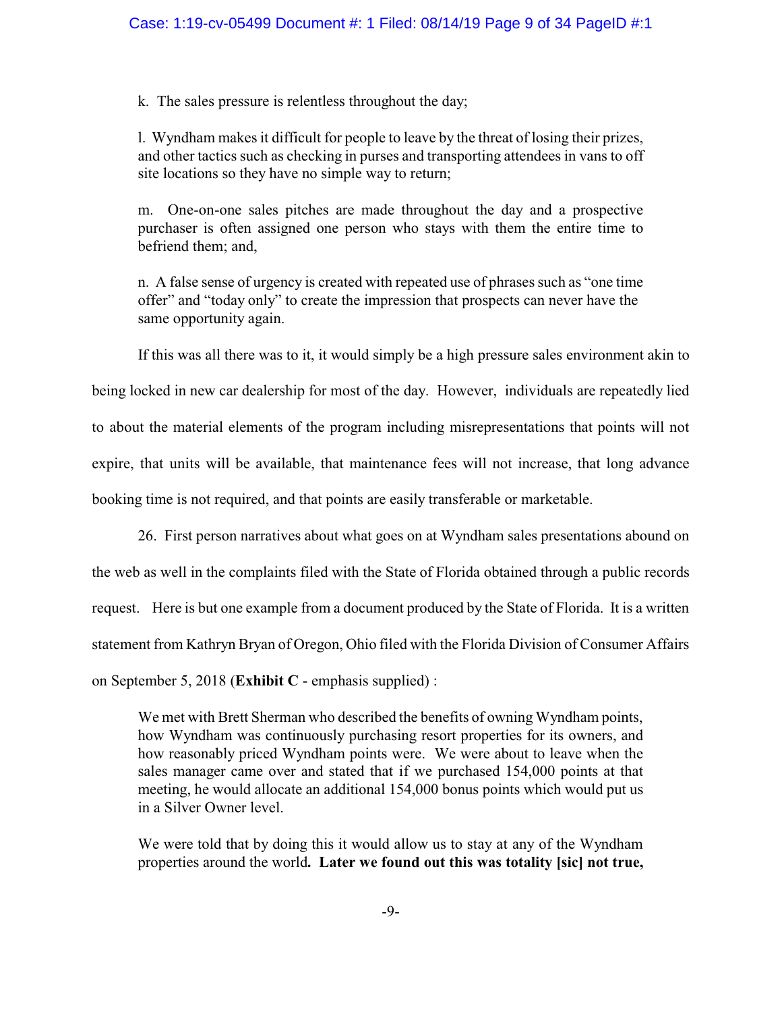k. The sales pressure is relentless throughout the day;

l. Wyndham makes it difficult for people to leave by the threat of losing their prizes, and other tactics such as checking in purses and transporting attendees in vans to off site locations so they have no simple way to return;

m. One-on-one sales pitches are made throughout the day and a prospective purchaser is often assigned one person who stays with them the entire time to befriend them; and,

n. A false sense of urgency is created with repeated use of phrases such as "one time offer" and "today only" to create the impression that prospects can never have the same opportunity again.

If this was all there was to it, it would simply be a high pressure sales environment akin to

being locked in new car dealership for most of the day. However, individuals are repeatedly lied to about the material elements of the program including misrepresentations that points will not expire, that units will be available, that maintenance fees will not increase, that long advance booking time is not required, and that points are easily transferable or marketable.

26. First person narratives about what goes on at Wyndham sales presentations abound on the web as well in the complaints filed with the State of Florida obtained through a public records request. Here is but one example from a document produced by the State of Florida. It is a written statement from Kathryn Bryan of Oregon, Ohio filed with the Florida Division of Consumer Affairs on September 5, 2018 (**Exhibit C** - emphasis supplied) :

We met with Brett Sherman who described the benefits of owning Wyndham points, how Wyndham was continuously purchasing resort properties for its owners, and how reasonably priced Wyndham points were. We were about to leave when the sales manager came over and stated that if we purchased 154,000 points at that meeting, he would allocate an additional 154,000 bonus points which would put us in a Silver Owner level.

We were told that by doing this it would allow us to stay at any of the Wyndham properties around the world**. Later we found out this was totality [sic] not true,**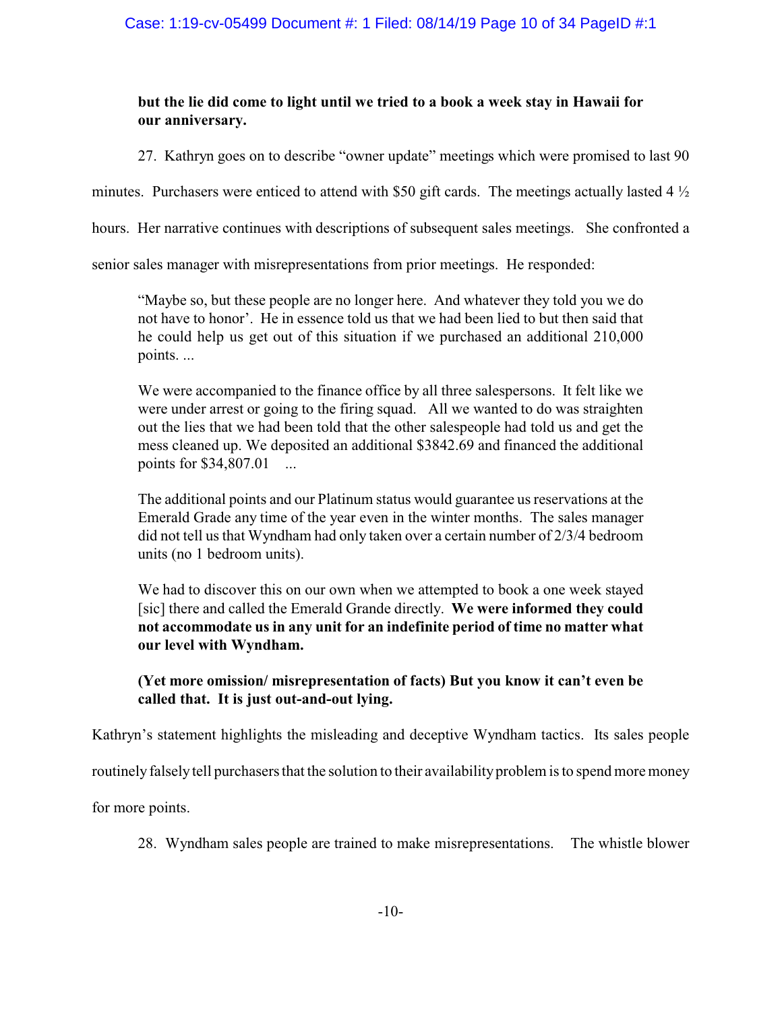# **but the lie did come to light until we tried to a book a week stay in Hawaii for our anniversary.**

27. Kathryn goes on to describe "owner update" meetings which were promised to last 90

minutes. Purchasers were enticed to attend with \$50 gift cards. The meetings actually lasted  $4\frac{1}{2}$ 

hours. Her narrative continues with descriptions of subsequent sales meetings. She confronted a

senior sales manager with misrepresentations from prior meetings. He responded:

"Maybe so, but these people are no longer here. And whatever they told you we do not have to honor'. He in essence told us that we had been lied to but then said that he could help us get out of this situation if we purchased an additional 210,000 points. ...

We were accompanied to the finance office by all three salespersons. It felt like we were under arrest or going to the firing squad. All we wanted to do was straighten out the lies that we had been told that the other salespeople had told us and get the mess cleaned up. We deposited an additional \$3842.69 and financed the additional points for \$34,807.01 ...

The additional points and our Platinum status would guarantee us reservations at the Emerald Grade any time of the year even in the winter months. The sales manager did not tell us that Wyndham had only taken over a certain number of 2/3/4 bedroom units (no 1 bedroom units).

We had to discover this on our own when we attempted to book a one week stayed [sic] there and called the Emerald Grande directly. **We were informed they could not accommodate us in any unit for an indefinite period of time no matter what our level with Wyndham.**

# **(Yet more omission/ misrepresentation of facts) But you know it can't even be called that. It is just out-and-out lying.**

Kathryn's statement highlights the misleading and deceptive Wyndham tactics. Its sales people

routinely falsely tell purchasers that the solution to their availability problem is to spend more money

for more points.

28. Wyndham sales people are trained to make misrepresentations. The whistle blower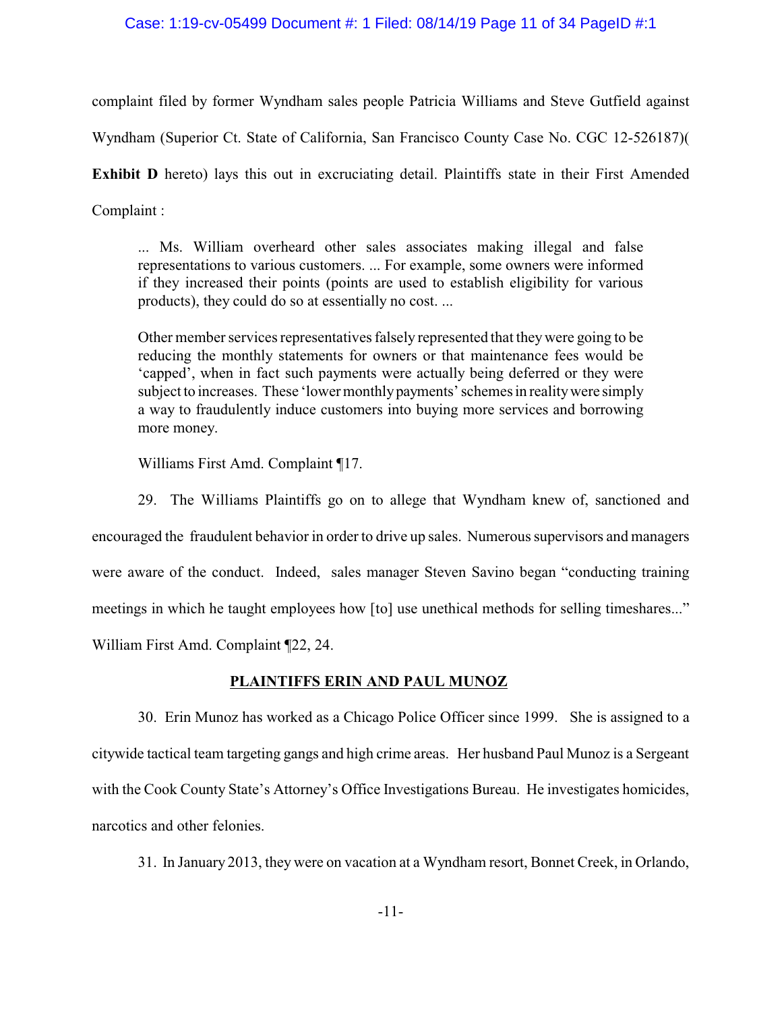### Case: 1:19-cv-05499 Document #: 1 Filed: 08/14/19 Page 11 of 34 PageID #:1

complaint filed by former Wyndham sales people Patricia Williams and Steve Gutfield against

Wyndham (Superior Ct. State of California, San Francisco County Case No. CGC 12-526187)(

**Exhibit D** hereto) lays this out in excruciating detail. Plaintiffs state in their First Amended Complaint :

... Ms. William overheard other sales associates making illegal and false representations to various customers. ... For example, some owners were informed if they increased their points (points are used to establish eligibility for various products), they could do so at essentially no cost. ...

Other member services representatives falsely represented that theywere going to be reducing the monthly statements for owners or that maintenance fees would be 'capped', when in fact such payments were actually being deferred or they were subject to increases. These 'lower monthlypayments' schemes in realitywere simply a way to fraudulently induce customers into buying more services and borrowing more money.

Williams First Amd. Complaint ¶17.

29. The Williams Plaintiffs go on to allege that Wyndham knew of, sanctioned and encouraged the fraudulent behavior in order to drive up sales. Numerous supervisors and managers were aware of the conduct. Indeed, sales manager Steven Savino began "conducting training meetings in which he taught employees how [to] use unethical methods for selling timeshares..." William First Amd. Complaint ¶22, 24.

**PLAINTIFFS ERIN AND PAUL MUNOZ**

30. Erin Munoz has worked as a Chicago Police Officer since 1999. She is assigned to a citywide tactical team targeting gangs and high crime areas. Her husband Paul Munoz is a Sergeant with the Cook County State's Attorney's Office Investigations Bureau. He investigates homicides, narcotics and other felonies.

31. In January 2013, they were on vacation at a Wyndham resort, Bonnet Creek, in Orlando,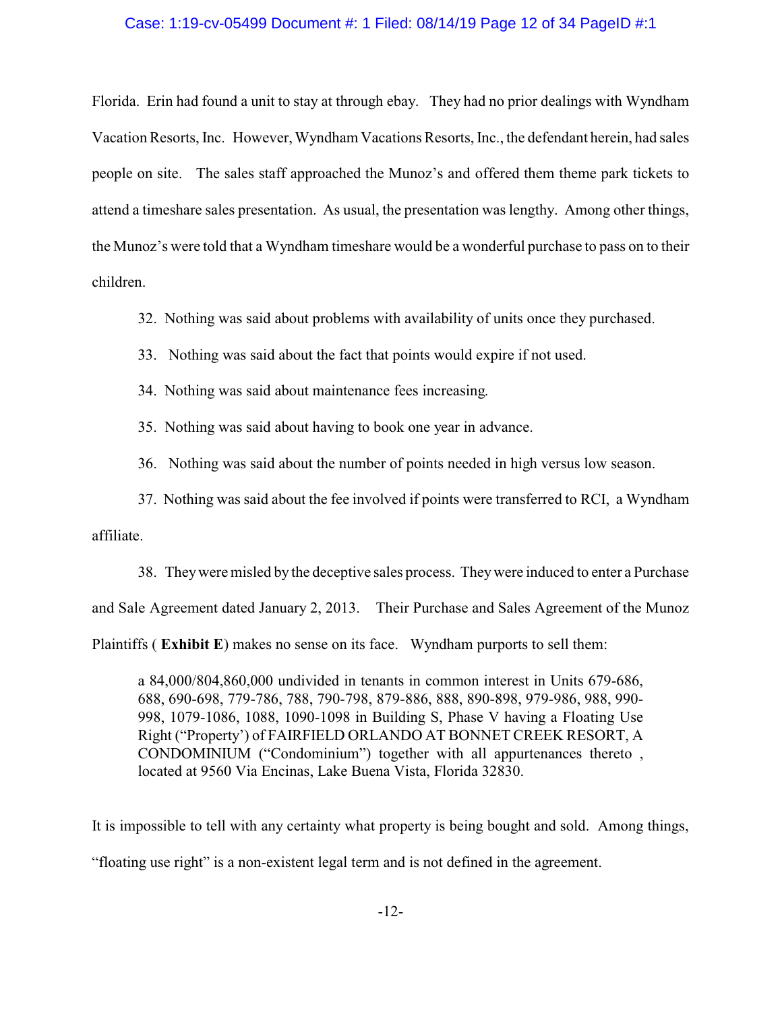## Case: 1:19-cv-05499 Document #: 1 Filed: 08/14/19 Page 12 of 34 PageID #:1

Florida. Erin had found a unit to stay at through ebay. They had no prior dealings with Wyndham Vacation Resorts, Inc. However, Wyndham Vacations Resorts, Inc., the defendant herein, had sales people on site. The sales staff approached the Munoz's and offered them theme park tickets to attend a timeshare sales presentation. As usual, the presentation was lengthy. Among other things, the Munoz's were told that a Wyndham timeshare would be a wonderful purchase to pass on to their children.

32. Nothing was said about problems with availability of units once they purchased.

- 33. Nothing was said about the fact that points would expire if not used.
- 34. Nothing was said about maintenance fees increasing.
- 35. Nothing was said about having to book one year in advance.

36. Nothing was said about the number of points needed in high versus low season.

37. Nothing was said about the fee involved if points were transferred to RCI, a Wyndham

## affiliate.

38. Theywere misled by the deceptive sales process. Theywere induced to enter a Purchase and Sale Agreement dated January 2, 2013. Their Purchase and Sales Agreement of the Munoz Plaintiffs ( **Exhibit E**) makes no sense on its face. Wyndham purports to sell them:

a 84,000/804,860,000 undivided in tenants in common interest in Units 679-686, 688, 690-698, 779-786, 788, 790-798, 879-886, 888, 890-898, 979-986, 988, 990- 998, 1079-1086, 1088, 1090-1098 in Building S, Phase V having a Floating Use Right ("Property') of FAIRFIELD ORLANDO AT BONNET CREEK RESORT, A CONDOMINIUM ("Condominium") together with all appurtenances thereto , located at 9560 Via Encinas, Lake Buena Vista, Florida 32830.

It is impossible to tell with any certainty what property is being bought and sold. Among things,

"floating use right" is a non-existent legal term and is not defined in the agreement.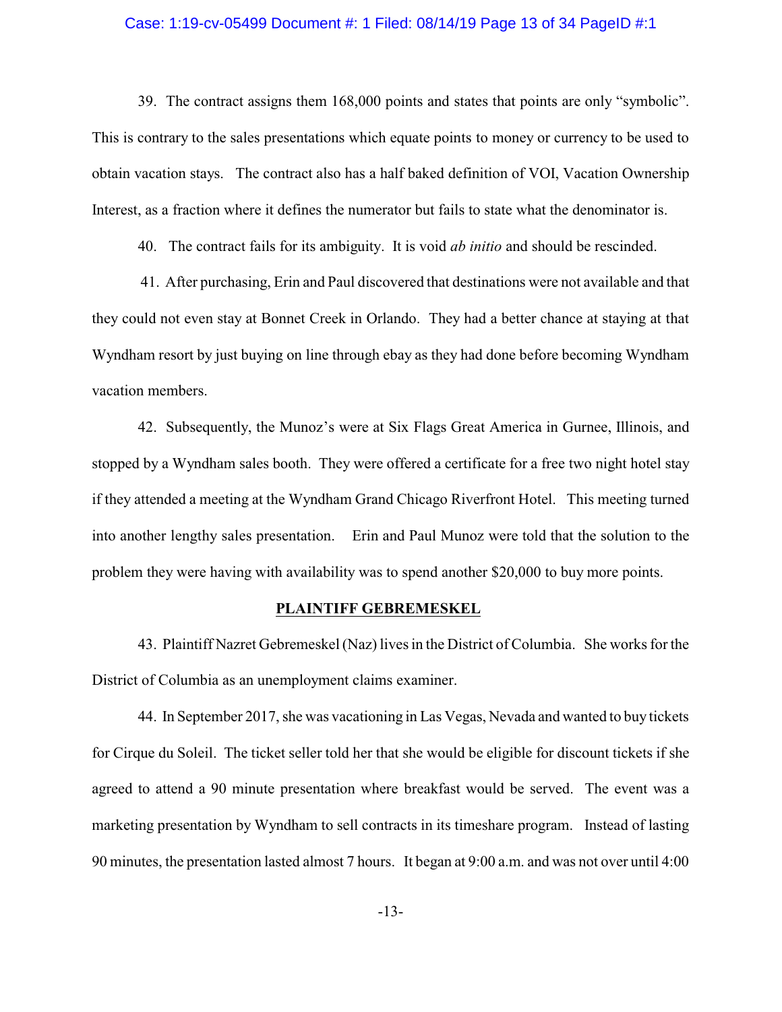### Case: 1:19-cv-05499 Document #: 1 Filed: 08/14/19 Page 13 of 34 PageID #:1

39. The contract assigns them 168,000 points and states that points are only "symbolic". This is contrary to the sales presentations which equate points to money or currency to be used to obtain vacation stays. The contract also has a half baked definition of VOI, Vacation Ownership Interest, as a fraction where it defines the numerator but fails to state what the denominator is.

40. The contract fails for its ambiguity. It is void *ab initio* and should be rescinded.

41. After purchasing, Erin and Paul discovered that destinations were not available and that they could not even stay at Bonnet Creek in Orlando. They had a better chance at staying at that Wyndham resort by just buying on line through ebay as they had done before becoming Wyndham vacation members.

42. Subsequently, the Munoz's were at Six Flags Great America in Gurnee, Illinois, and stopped by a Wyndham sales booth. They were offered a certificate for a free two night hotel stay if they attended a meeting at the Wyndham Grand Chicago Riverfront Hotel. This meeting turned into another lengthy sales presentation. Erin and Paul Munoz were told that the solution to the problem they were having with availability was to spend another \$20,000 to buy more points.

### **PLAINTIFF GEBREMESKEL**

43. Plaintiff Nazret Gebremeskel (Naz) lives in the District of Columbia. She works for the District of Columbia as an unemployment claims examiner.

44. In September 2017, she was vacationing in Las Vegas, Nevada and wanted to buy tickets for Cirque du Soleil. The ticket seller told her that she would be eligible for discount tickets if she agreed to attend a 90 minute presentation where breakfast would be served. The event was a marketing presentation by Wyndham to sell contracts in its timeshare program. Instead of lasting 90 minutes, the presentation lasted almost 7 hours. It began at 9:00 a.m. and was not over until 4:00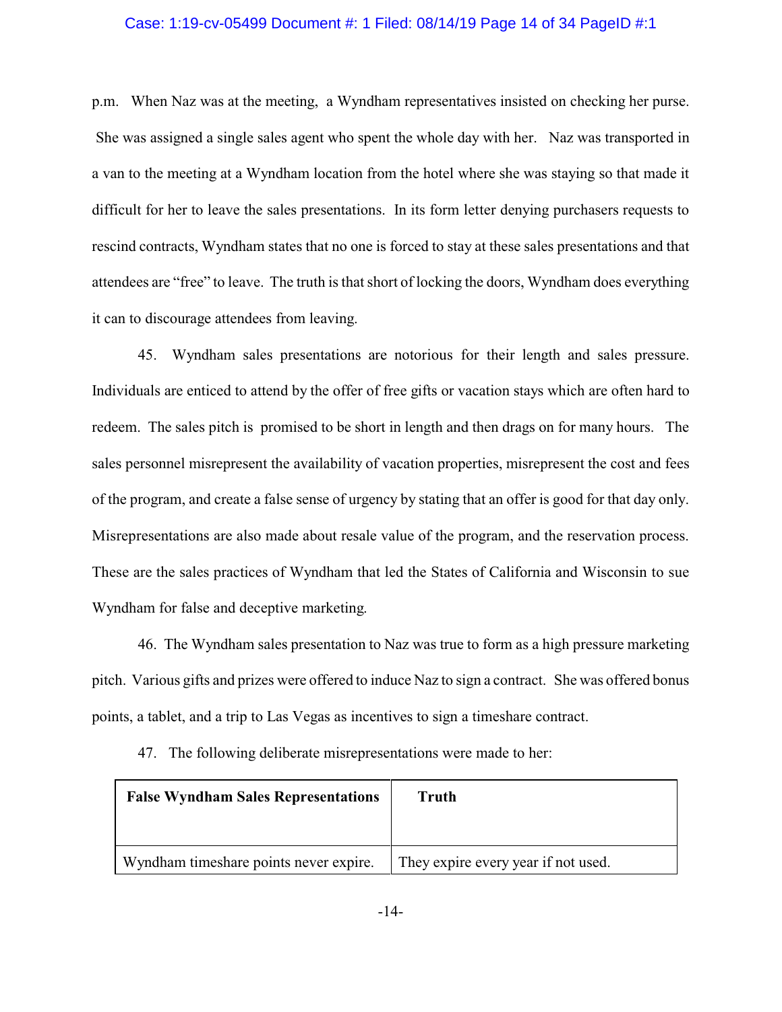### Case: 1:19-cv-05499 Document #: 1 Filed: 08/14/19 Page 14 of 34 PageID #:1

p.m. When Naz was at the meeting, a Wyndham representatives insisted on checking her purse. She was assigned a single sales agent who spent the whole day with her. Naz was transported in a van to the meeting at a Wyndham location from the hotel where she was staying so that made it difficult for her to leave the sales presentations. In its form letter denying purchasers requests to rescind contracts, Wyndham states that no one is forced to stay at these sales presentations and that attendees are "free" to leave. The truth is that short of locking the doors, Wyndham does everything it can to discourage attendees from leaving.

45. Wyndham sales presentations are notorious for their length and sales pressure. Individuals are enticed to attend by the offer of free gifts or vacation stays which are often hard to redeem. The sales pitch is promised to be short in length and then drags on for many hours. The sales personnel misrepresent the availability of vacation properties, misrepresent the cost and fees of the program, and create a false sense of urgency by stating that an offer is good for that day only. Misrepresentations are also made about resale value of the program, and the reservation process. These are the sales practices of Wyndham that led the States of California and Wisconsin to sue Wyndham for false and deceptive marketing.

46. The Wyndham sales presentation to Naz was true to form as a high pressure marketing pitch. Various gifts and prizes were offered to induce Naz to sign a contract. She was offered bonus points, a tablet, and a trip to Las Vegas as incentives to sign a timeshare contract.

| <b>False Wyndham Sales Representations</b> | Truth                               |
|--------------------------------------------|-------------------------------------|
|                                            |                                     |
| Wyndham timeshare points never expire.     | They expire every year if not used. |

47. The following deliberate misrepresentations were made to her: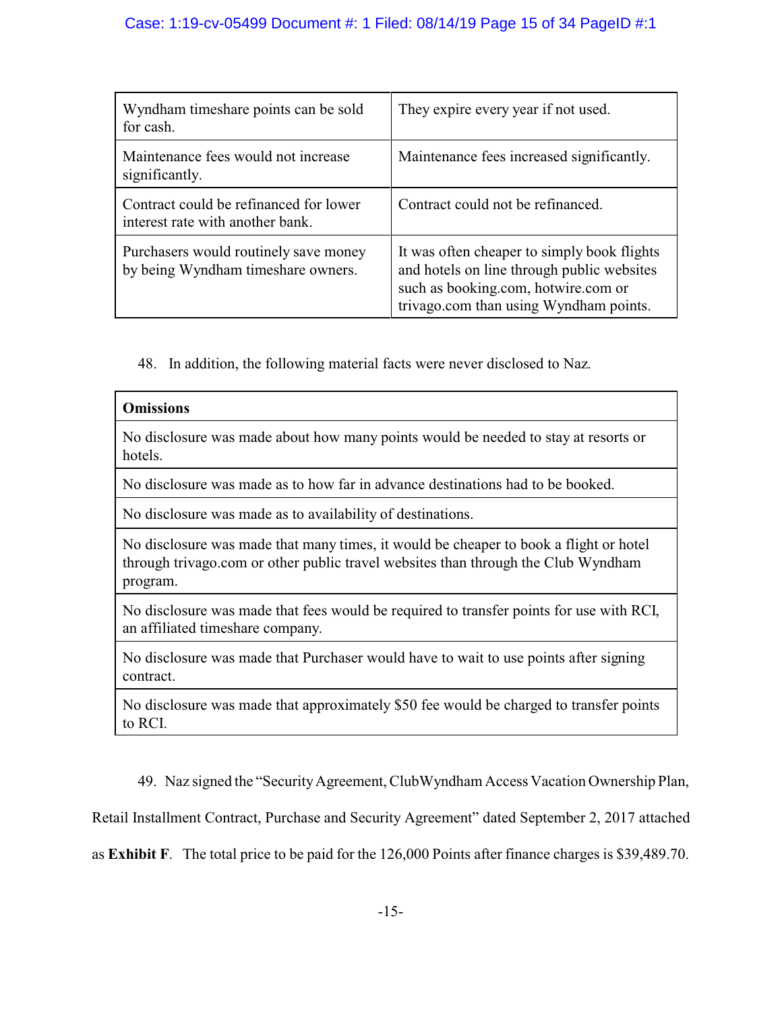# Case: 1:19-cv-05499 Document #: 1 Filed: 08/14/19 Page 15 of 34 PageID #:1

| Wyndham timeshare points can be sold<br>for cash.                           | They expire every year if not used.                                                                                                                                        |
|-----------------------------------------------------------------------------|----------------------------------------------------------------------------------------------------------------------------------------------------------------------------|
| Maintenance fees would not increase<br>significantly.                       | Maintenance fees increased significantly.                                                                                                                                  |
| Contract could be refinanced for lower<br>interest rate with another bank.  | Contract could not be refinanced.                                                                                                                                          |
| Purchasers would routinely save money<br>by being Wyndham timeshare owners. | It was often cheaper to simply book flights<br>and hotels on line through public websites<br>such as booking.com, hotwire.com or<br>trivago.com than using Wyndham points. |

48. In addition, the following material facts were never disclosed to Naz.

| <b>Omissions</b>                                                                                                                                                                       |
|----------------------------------------------------------------------------------------------------------------------------------------------------------------------------------------|
| No disclosure was made about how many points would be needed to stay at resorts or<br>hotels.                                                                                          |
| No disclosure was made as to how far in advance destinations had to be booked.                                                                                                         |
| No disclosure was made as to availability of destinations.                                                                                                                             |
| No disclosure was made that many times, it would be cheaper to book a flight or hotel<br>through trivago.com or other public travel websites than through the Club Wyndham<br>program. |
| No disclosure was made that fees would be required to transfer points for use with RCI,<br>an affiliated timeshare company.                                                            |
| No disclosure was made that Purchaser would have to wait to use points after signing<br>contract.                                                                                      |
| No disclosure was made that approximately \$50 fee would be charged to transfer points<br>to RCI.                                                                                      |

49. Naz signed the "Security Agreement, ClubWyndham Access Vacation Ownership Plan,

Retail Installment Contract, Purchase and Security Agreement" dated September 2, 2017 attached

as **Exhibit F**. The total price to be paid for the 126,000 Points after finance charges is \$39,489.70.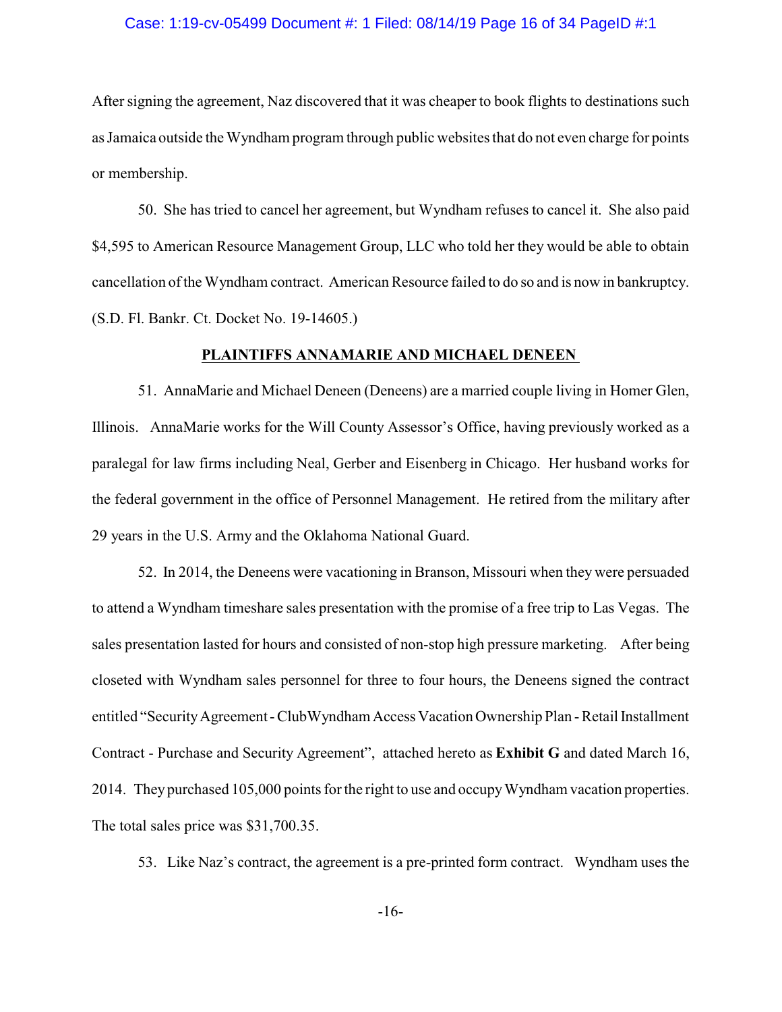### Case: 1:19-cv-05499 Document #: 1 Filed: 08/14/19 Page 16 of 34 PageID #:1

After signing the agreement, Naz discovered that it was cheaper to book flights to destinations such as Jamaica outside the Wyndham program through public websites that do not even charge for points or membership.

50. She has tried to cancel her agreement, but Wyndham refuses to cancel it. She also paid \$4,595 to American Resource Management Group, LLC who told her they would be able to obtain cancellation of the Wyndham contract. American Resource failed to do so and is now in bankruptcy. (S.D. Fl. Bankr. Ct. Docket No. 19-14605.)

### **PLAINTIFFS ANNAMARIE AND MICHAEL DENEEN**

51. AnnaMarie and Michael Deneen (Deneens) are a married couple living in Homer Glen, Illinois. AnnaMarie works for the Will County Assessor's Office, having previously worked as a paralegal for law firms including Neal, Gerber and Eisenberg in Chicago. Her husband works for the federal government in the office of Personnel Management. He retired from the military after 29 years in the U.S. Army and the Oklahoma National Guard.

52. In 2014, the Deneens were vacationing in Branson, Missouri when they were persuaded to attend a Wyndham timeshare sales presentation with the promise of a free trip to Las Vegas. The sales presentation lasted for hours and consisted of non-stop high pressure marketing. After being closeted with Wyndham sales personnel for three to four hours, the Deneens signed the contract entitled "SecurityAgreement - ClubWyndham Access Vacation Ownership Plan - Retail Installment Contract - Purchase and Security Agreement", attached hereto as **Exhibit G** and dated March 16, 2014. They purchased 105,000 points for the right to use and occupyWyndham vacation properties. The total sales price was \$31,700.35.

53. Like Naz's contract, the agreement is a pre-printed form contract. Wyndham uses the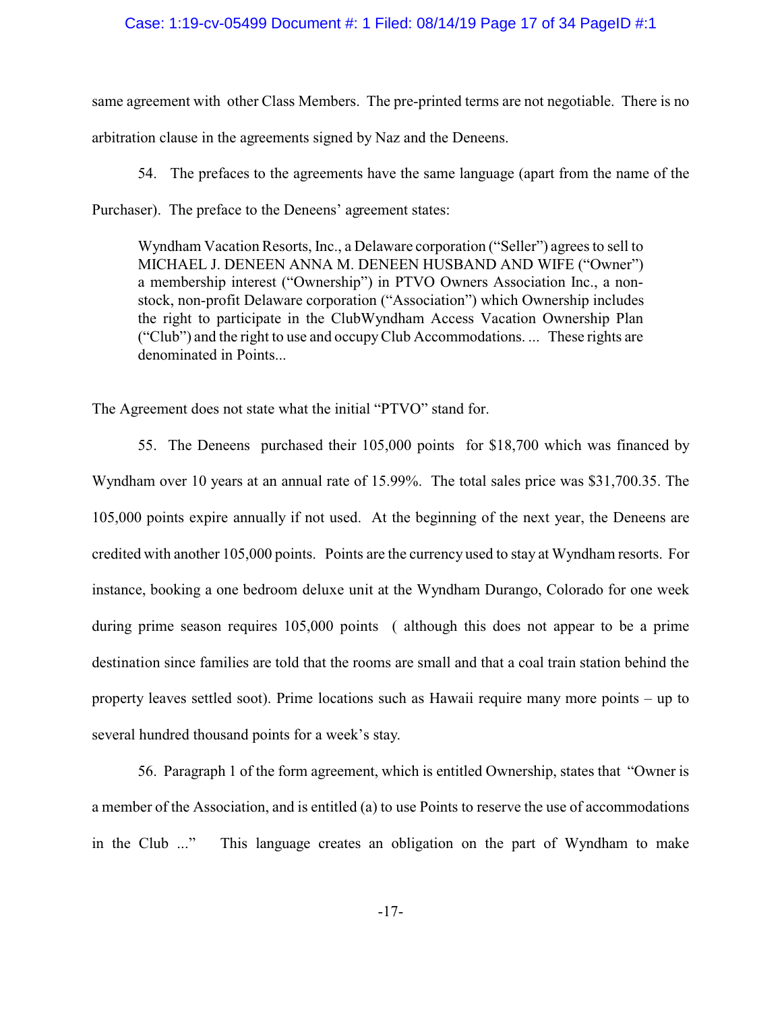## Case: 1:19-cv-05499 Document #: 1 Filed: 08/14/19 Page 17 of 34 PageID #:1

same agreement with other Class Members. The pre-printed terms are not negotiable. There is no arbitration clause in the agreements signed by Naz and the Deneens.

54. The prefaces to the agreements have the same language (apart from the name of the Purchaser). The preface to the Deneens' agreement states:

Wyndham Vacation Resorts, Inc., a Delaware corporation ("Seller") agrees to sell to MICHAEL J. DENEEN ANNA M. DENEEN HUSBAND AND WIFE ("Owner") a membership interest ("Ownership") in PTVO Owners Association Inc., a nonstock, non-profit Delaware corporation ("Association") which Ownership includes the right to participate in the ClubWyndham Access Vacation Ownership Plan ("Club") and the right to use and occupyClub Accommodations. ... These rights are denominated in Points...

The Agreement does not state what the initial "PTVO" stand for.

55. The Deneens purchased their 105,000 points for \$18,700 which was financed by Wyndham over 10 years at an annual rate of 15.99%. The total sales price was \$31,700.35. The 105,000 points expire annually if not used. At the beginning of the next year, the Deneens are credited with another 105,000 points. Points are the currency used to stay at Wyndham resorts. For instance, booking a one bedroom deluxe unit at the Wyndham Durango, Colorado for one week during prime season requires 105,000 points ( although this does not appear to be a prime destination since families are told that the rooms are small and that a coal train station behind the property leaves settled soot). Prime locations such as Hawaii require many more points – up to several hundred thousand points for a week's stay.

56. Paragraph 1 of the form agreement, which is entitled Ownership, states that "Owner is a member of the Association, and is entitled (a) to use Points to reserve the use of accommodations in the Club ..." This language creates an obligation on the part of Wyndham to make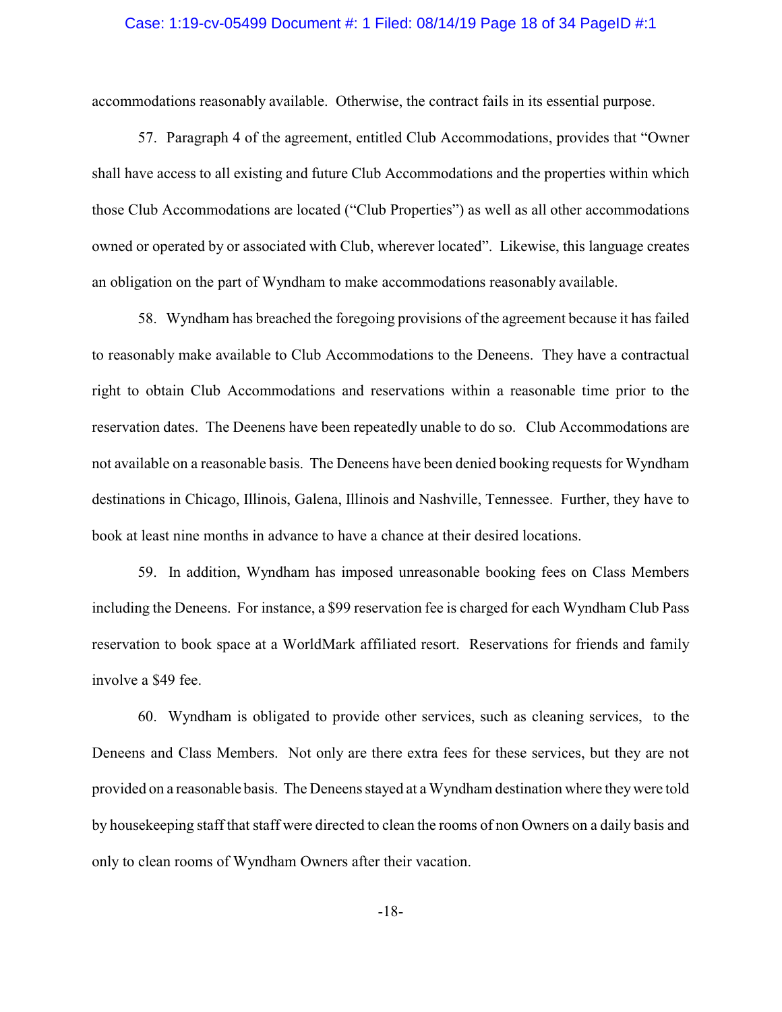### Case: 1:19-cv-05499 Document #: 1 Filed: 08/14/19 Page 18 of 34 PageID #:1

accommodations reasonably available. Otherwise, the contract fails in its essential purpose.

57. Paragraph 4 of the agreement, entitled Club Accommodations, provides that "Owner shall have access to all existing and future Club Accommodations and the properties within which those Club Accommodations are located ("Club Properties") as well as all other accommodations owned or operated by or associated with Club, wherever located". Likewise, this language creates an obligation on the part of Wyndham to make accommodations reasonably available.

58. Wyndham has breached the foregoing provisions of the agreement because it has failed to reasonably make available to Club Accommodations to the Deneens. They have a contractual right to obtain Club Accommodations and reservations within a reasonable time prior to the reservation dates. The Deenens have been repeatedly unable to do so. Club Accommodations are not available on a reasonable basis. The Deneens have been denied booking requests for Wyndham destinations in Chicago, Illinois, Galena, Illinois and Nashville, Tennessee. Further, they have to book at least nine months in advance to have a chance at their desired locations.

59. In addition, Wyndham has imposed unreasonable booking fees on Class Members including the Deneens. For instance, a \$99 reservation fee is charged for each Wyndham Club Pass reservation to book space at a WorldMark affiliated resort. Reservations for friends and family involve a \$49 fee.

60. Wyndham is obligated to provide other services, such as cleaning services, to the Deneens and Class Members. Not only are there extra fees for these services, but they are not provided on a reasonable basis. The Deneens stayed at a Wyndham destination where theywere told by housekeeping staff that staff were directed to clean the rooms of non Owners on a daily basis and only to clean rooms of Wyndham Owners after their vacation.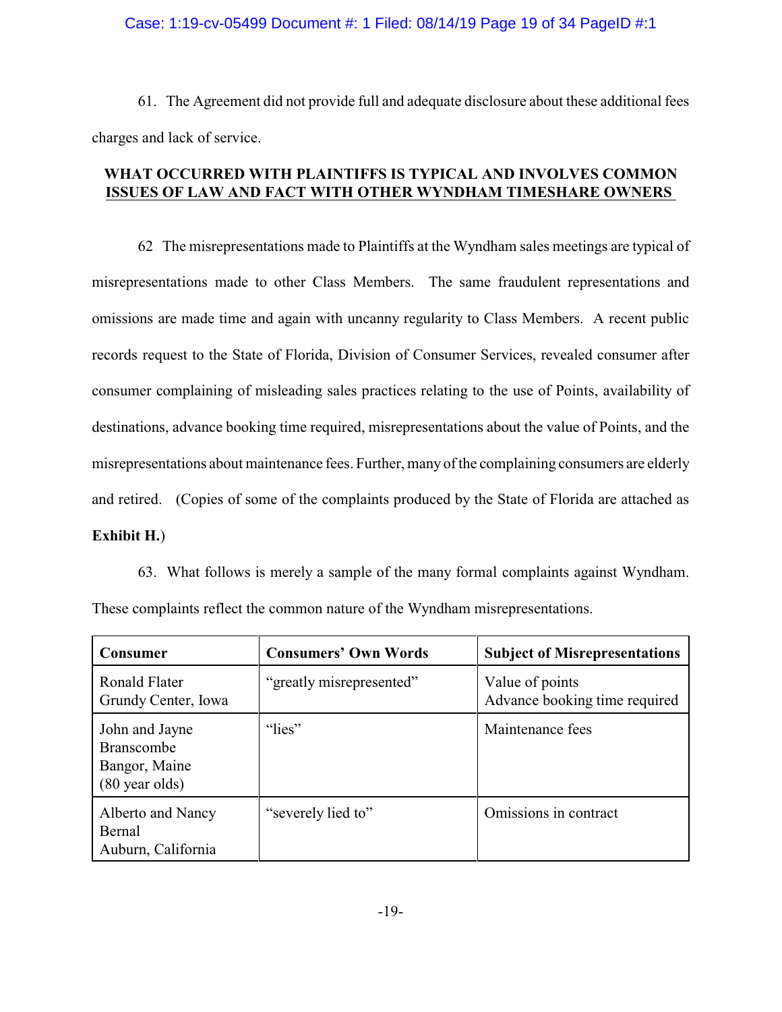### Case: 1:19-cv-05499 Document #: 1 Filed: 08/14/19 Page 19 of 34 PageID #:1

61. The Agreement did not provide full and adequate disclosure about these additional fees charges and lack of service.

# **WHAT OCCURRED WITH PLAINTIFFS IS TYPICAL AND INVOLVES COMMON ISSUES OF LAW AND FACT WITH OTHER WYNDHAM TIMESHARE OWNERS**

62 The misrepresentations made to Plaintiffs at the Wyndham sales meetings are typical of misrepresentations made to other Class Members. The same fraudulent representations and omissions are made time and again with uncanny regularity to Class Members. A recent public records request to the State of Florida, Division of Consumer Services, revealed consumer after consumer complaining of misleading sales practices relating to the use of Points, availability of destinations, advance booking time required, misrepresentations about the value of Points, and the misrepresentations about maintenance fees. Further, many of the complaining consumers are elderly and retired. (Copies of some of the complaints produced by the State of Florida are attached as **Exhibit H.**)

63. What follows is merely a sample of the many formal complaints against Wyndham. These complaints reflect the common nature of the Wyndham misrepresentations.

| <b>Consumer</b>                                                                  | <b>Consumers' Own Words</b> | <b>Subject of Misrepresentations</b>             |
|----------------------------------------------------------------------------------|-----------------------------|--------------------------------------------------|
| Ronald Flater<br>Grundy Center, Iowa                                             | "greatly misrepresented"    | Value of points<br>Advance booking time required |
| John and Jayne<br><b>Branscombe</b><br>Bangor, Maine<br>$(80 \text{ year}$ olds) | "lies"                      | Maintenance fees                                 |
| Alberto and Nancy<br>Bernal<br>Auburn, California                                | "severely lied to"          | Omissions in contract                            |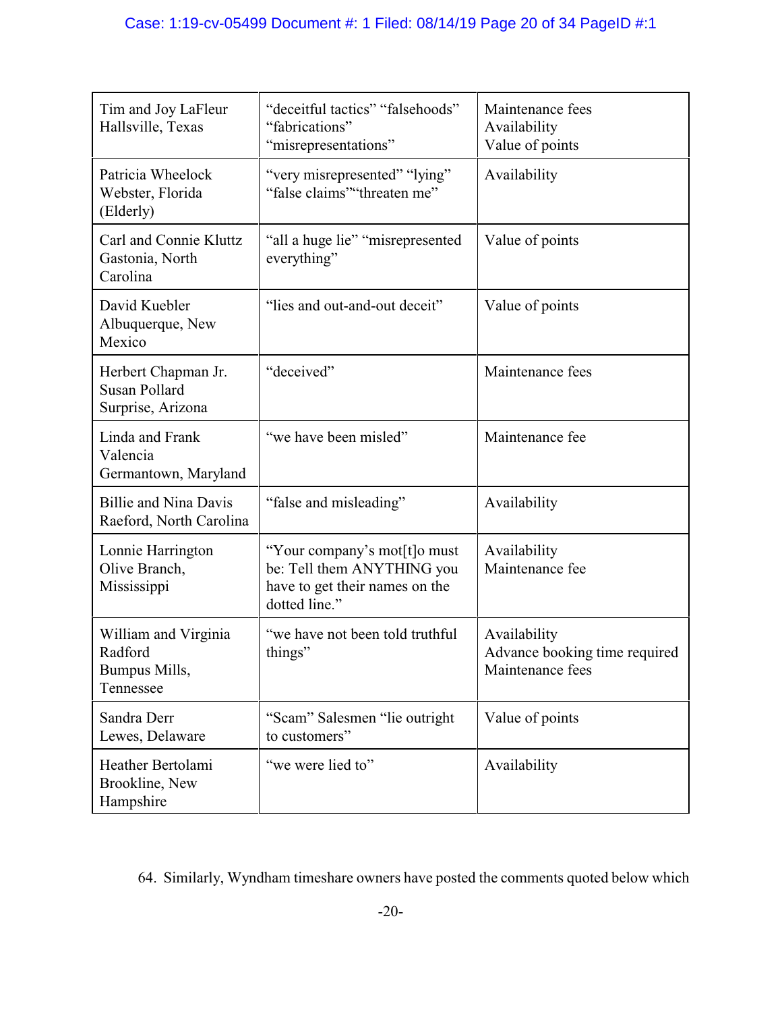| Tim and Joy LaFleur<br>Hallsville, Texas                         | "deceitful tactics" "falsehoods"<br>"fabrications"<br>"misrepresentations"                                    | Maintenance fees<br>Availability<br>Value of points               |
|------------------------------------------------------------------|---------------------------------------------------------------------------------------------------------------|-------------------------------------------------------------------|
| Patricia Wheelock<br>Webster, Florida<br>(Elderly)               | "very misrepresented" "lying"<br>"false claims" "threaten me"                                                 | Availability                                                      |
| Carl and Connie Kluttz<br>Gastonia, North<br>Carolina            | "all a huge lie" "misrepresented"<br>everything"                                                              | Value of points                                                   |
| David Kuebler<br>Albuquerque, New<br>Mexico                      | "lies and out-and-out deceit"                                                                                 | Value of points                                                   |
| Herbert Chapman Jr.<br><b>Susan Pollard</b><br>Surprise, Arizona | "deceived"                                                                                                    | Maintenance fees                                                  |
| Linda and Frank<br>Valencia<br>Germantown, Maryland              | "we have been misled"                                                                                         | Maintenance fee                                                   |
| <b>Billie and Nina Davis</b><br>Raeford, North Carolina          | "false and misleading"                                                                                        | Availability                                                      |
| Lonnie Harrington<br>Olive Branch,<br>Mississippi                | "Your company's mot[t]o must<br>be: Tell them ANYTHING you<br>have to get their names on the<br>dotted line." | Availability<br>Maintenance fee                                   |
| William and Virginia<br>Radford<br>Bumpus Mills,<br>Tennessee    | "we have not been told truthful<br>things"                                                                    | Availability<br>Advance booking time required<br>Maintenance fees |
| Sandra Derr<br>Lewes, Delaware                                   | "Scam" Salesmen "lie outright<br>to customers"                                                                | Value of points                                                   |
| Heather Bertolami<br>Brookline, New<br>Hampshire                 | "we were lied to"                                                                                             | Availability                                                      |

64. Similarly, Wyndham timeshare owners have posted the comments quoted below which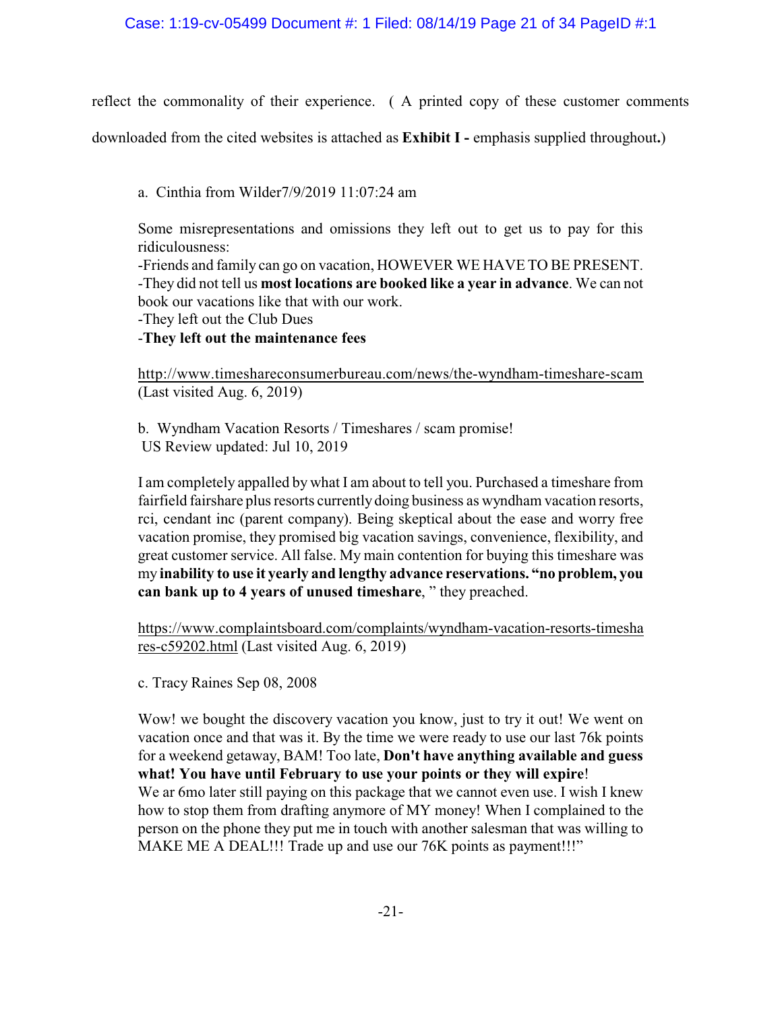reflect the commonality of their experience. ( A printed copy of these customer comments

downloaded from the cited websites is attached as **Exhibit I -** emphasis supplied throughout**.**)

a. Cinthia from Wilder7/9/2019 11:07:24 am

Some misrepresentations and omissions they left out to get us to pay for this ridiculousness:

-Friends and family can go on vacation, HOWEVER WE HAVE TO BE PRESENT. -They did not tell us **most locations are booked like a year in advance**. We can not book our vacations like that with our work.

-They left out the Club Dues

-**They left out the maintenance fees**

http://www.timeshareconsumerbureau.com/news/the-wyndham-timeshare-scam (Last visited Aug. 6, 2019)

b. Wyndham Vacation Resorts / Timeshares / scam promise! US Review updated: Jul 10, 2019

I am completely appalled by what I am about to tell you. Purchased a timeshare from fairfield fairshare plus resorts currently doing business as wyndham vacation resorts, rci, cendant inc (parent company). Being skeptical about the ease and worry free vacation promise, they promised big vacation savings, convenience, flexibility, and great customer service. All false. My main contention for buying this timeshare was my **inability to use it yearly and lengthy advance reservations. "no problem, you can bank up to 4 years of unused timeshare**, " they preached.

https://www.complaintsboard.com/complaints/wyndham-vacation-resorts-timesha res-c59202.html (Last visited Aug. 6, 2019)

c. Tracy Raines Sep 08, 2008

Wow! we bought the discovery vacation you know, just to try it out! We went on vacation once and that was it. By the time we were ready to use our last 76k points for a weekend getaway, BAM! Too late, **Don't have anything available and guess what! You have until February to use your points or they will expire**! We ar 6mo later still paying on this package that we cannot even use. I wish I knew how to stop them from drafting anymore of MY money! When I complained to the person on the phone they put me in touch with another salesman that was willing to MAKE ME A DEAL!!! Trade up and use our 76K points as payment!!!"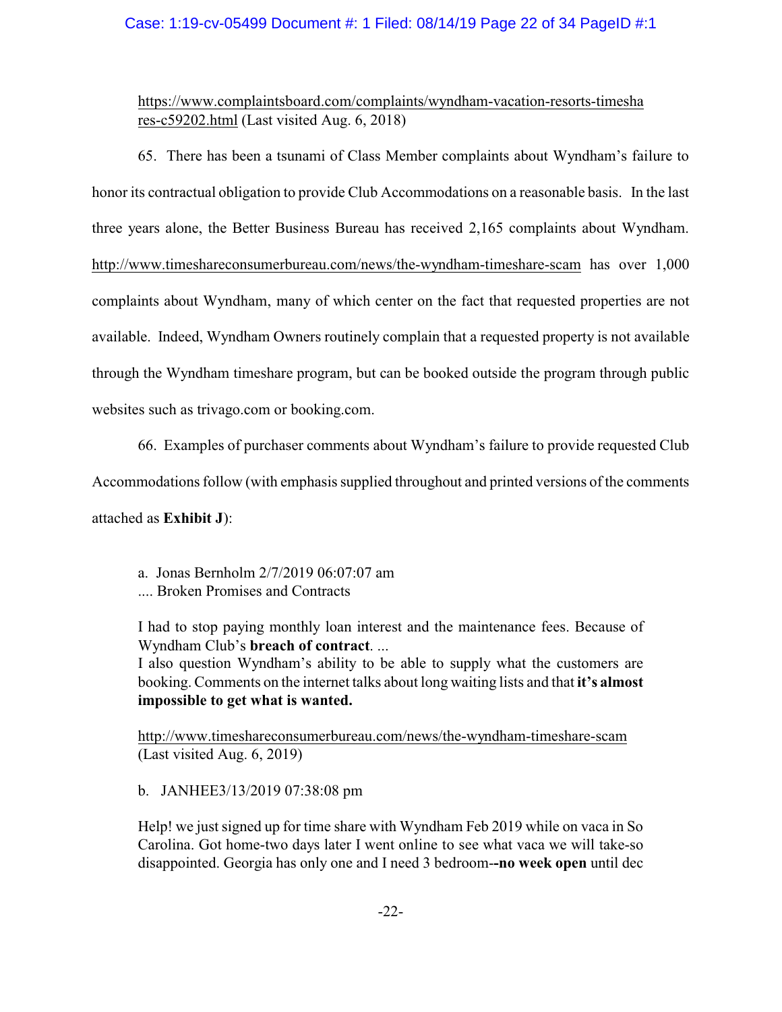## Case: 1:19-cv-05499 Document #: 1 Filed: 08/14/19 Page 22 of 34 PageID #:1

# https://www.complaintsboard.com/complaints/wyndham-vacation-resorts-timesha res-c59202.html (Last visited Aug. 6, 2018)

65. There has been a tsunami of Class Member complaints about Wyndham's failure to honor its contractual obligation to provide Club Accommodations on a reasonable basis. In the last three years alone, the Better Business Bureau has received 2,165 complaints about Wyndham. http://www.timeshareconsumerbureau.com/news/the-wyndham-timeshare-scam has over 1,000 complaints about Wyndham, many of which center on the fact that requested properties are not available. Indeed, Wyndham Owners routinely complain that a requested property is not available through the Wyndham timeshare program, but can be booked outside the program through public websites such as trivago.com or booking.com.

66. Examples of purchaser comments about Wyndham's failure to provide requested Club

Accommodations follow (with emphasis supplied throughout and printed versions of the comments

attached as **Exhibit J**):

- a. Jonas Bernholm 2/7/2019 06:07:07 am
- .... Broken Promises and Contracts

I had to stop paying monthly loan interest and the maintenance fees. Because of Wyndham Club's **breach of contract**. ...

I also question Wyndham's ability to be able to supply what the customers are booking. Comments on the internet talks about long waiting lists and that **it's almost impossible to get what is wanted.** 

http://www.timeshareconsumerbureau.com/news/the-wyndham-timeshare-scam (Last visited Aug. 6, 2019)

b. JANHEE3/13/2019 07:38:08 pm

Help! we just signed up for time share with Wyndham Feb 2019 while on vaca in So Carolina. Got home-two days later I went online to see what vaca we will take-so disappointed. Georgia has only one and I need 3 bedroom-**-no week open** until dec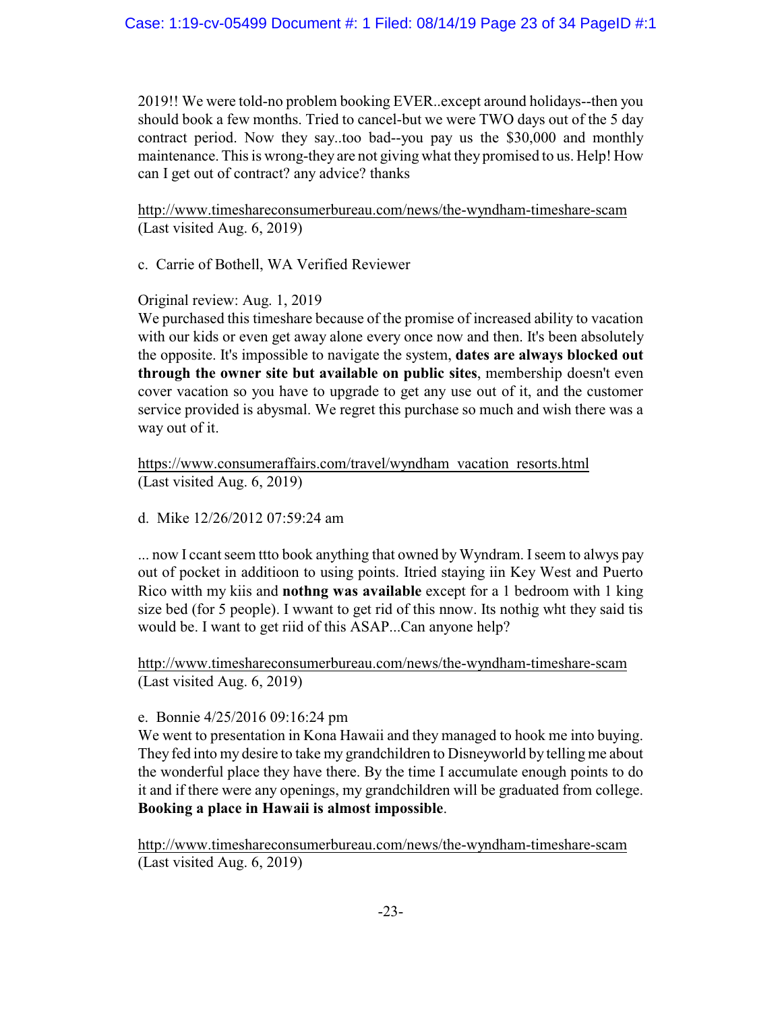2019!! We were told-no problem booking EVER..except around holidays--then you should book a few months. Tried to cancel-but we were TWO days out of the 5 day contract period. Now they say..too bad--you pay us the \$30,000 and monthly maintenance. This is wrong-they are not giving what they promised to us. Help! How can I get out of contract? any advice? thanks

http://www.timeshareconsumerbureau.com/news/the-wyndham-timeshare-scam (Last visited Aug. 6, 2019)

c. Carrie of Bothell, WA Verified Reviewer

Original review: Aug. 1, 2019

We purchased this timeshare because of the promise of increased ability to vacation with our kids or even get away alone every once now and then. It's been absolutely the opposite. It's impossible to navigate the system, **dates are always blocked out through the owner site but available on public sites**, membership doesn't even cover vacation so you have to upgrade to get any use out of it, and the customer service provided is abysmal. We regret this purchase so much and wish there was a way out of it.

https://www.consumeraffairs.com/travel/wyndham\_vacation\_resorts.html (Last visited Aug. 6, 2019)

d. Mike 12/26/2012 07:59:24 am

... now I ccant seem ttto book anything that owned by Wyndram. I seem to alwys pay out of pocket in additioon to using points. Itried staying iin Key West and Puerto Rico witth my kiis and **nothng was available** except for a 1 bedroom with 1 king size bed (for 5 people). I wwant to get rid of this nnow. Its nothig wht they said tis would be. I want to get riid of this ASAP...Can anyone help?

http://www.timeshareconsumerbureau.com/news/the-wyndham-timeshare-scam (Last visited Aug. 6, 2019)

# e. Bonnie 4/25/2016 09:16:24 pm

We went to presentation in Kona Hawaii and they managed to hook me into buying. They fed into my desire to take my grandchildren to Disneyworld by telling me about the wonderful place they have there. By the time I accumulate enough points to do it and if there were any openings, my grandchildren will be graduated from college. **Booking a place in Hawaii is almost impossible**.

http://www.timeshareconsumerbureau.com/news/the-wyndham-timeshare-scam (Last visited Aug. 6, 2019)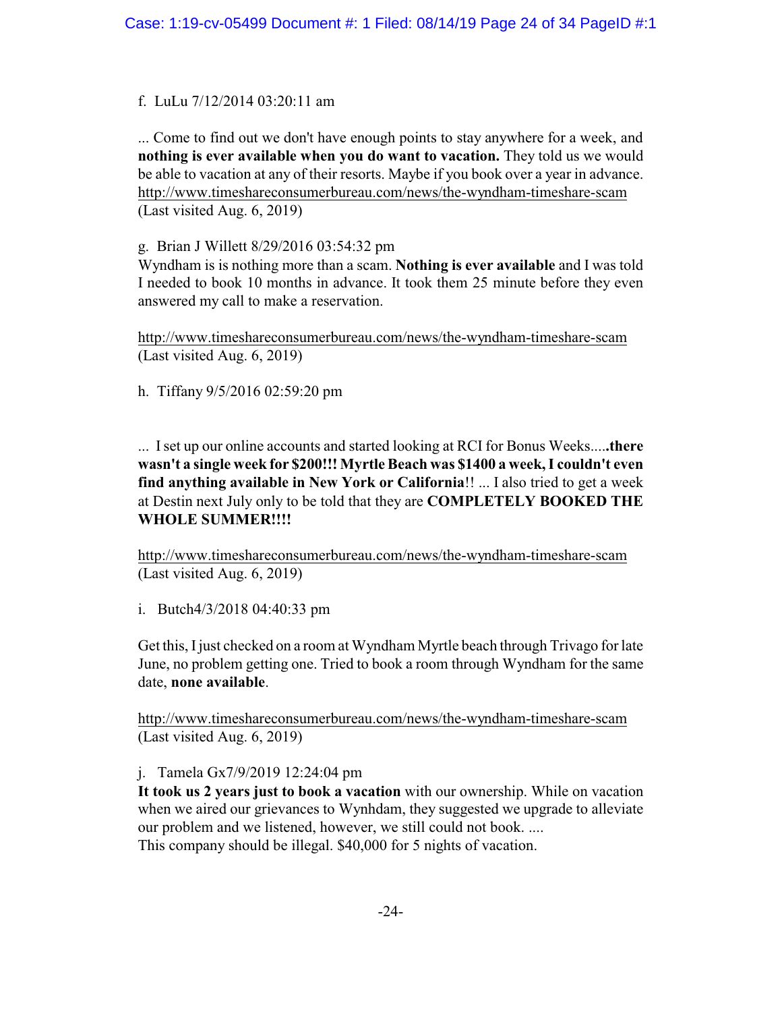# f. LuLu 7/12/2014 03:20:11 am

... Come to find out we don't have enough points to stay anywhere for a week, and **nothing is ever available when you do want to vacation.** They told us we would be able to vacation at any of their resorts. Maybe if you book over a year in advance. http://www.timeshareconsumerbureau.com/news/the-wyndham-timeshare-scam (Last visited Aug. 6, 2019)

# g. Brian J Willett 8/29/2016 03:54:32 pm

Wyndham is is nothing more than a scam. **Nothing is ever available** and I was told I needed to book 10 months in advance. It took them 25 minute before they even answered my call to make a reservation.

http://www.timeshareconsumerbureau.com/news/the-wyndham-timeshare-scam (Last visited Aug. 6, 2019)

h. Tiffany 9/5/2016 02:59:20 pm

... Iset up our online accounts and started looking at RCI for Bonus Weeks....**.there wasn't a single week for \$200!!! Myrtle Beach was \$1400 a week, I couldn't even find anything available in New York or California**!! ... I also tried to get a week at Destin next July only to be told that they are **COMPLETELY BOOKED THE WHOLE SUMMER!!!!**

http://www.timeshareconsumerbureau.com/news/the-wyndham-timeshare-scam (Last visited Aug. 6, 2019)

i. Butch4/3/2018 04:40:33 pm

Get this, I just checked on a room at Wyndham Myrtle beach through Trivago for late June, no problem getting one. Tried to book a room through Wyndham for the same date, **none available**.

http://www.timeshareconsumerbureau.com/news/the-wyndham-timeshare-scam (Last visited Aug. 6, 2019)

# j. Tamela Gx7/9/2019 12:24:04 pm

**It took us 2 years just to book a vacation** with our ownership. While on vacation when we aired our grievances to Wynhdam, they suggested we upgrade to alleviate our problem and we listened, however, we still could not book. .... This company should be illegal. \$40,000 for 5 nights of vacation.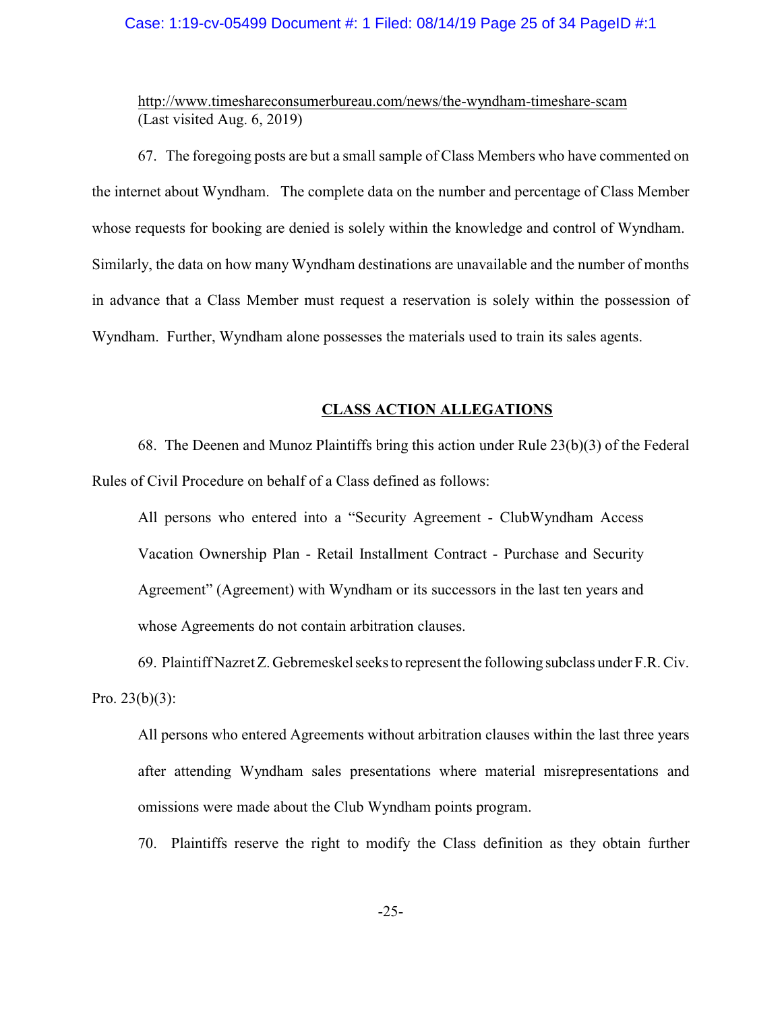### Case: 1:19-cv-05499 Document #: 1 Filed: 08/14/19 Page 25 of 34 PageID #:1

http://www.timeshareconsumerbureau.com/news/the-wyndham-timeshare-scam (Last visited Aug. 6, 2019)

67. The foregoing posts are but a small sample of Class Members who have commented on the internet about Wyndham. The complete data on the number and percentage of Class Member whose requests for booking are denied is solely within the knowledge and control of Wyndham. Similarly, the data on how many Wyndham destinations are unavailable and the number of months in advance that a Class Member must request a reservation is solely within the possession of Wyndham. Further, Wyndham alone possesses the materials used to train its sales agents.

### **CLASS ACTION ALLEGATIONS**

68. The Deenen and Munoz Plaintiffs bring this action under Rule 23(b)(3) of the Federal Rules of Civil Procedure on behalf of a Class defined as follows:

All persons who entered into a "Security Agreement - ClubWyndham Access Vacation Ownership Plan - Retail Installment Contract - Purchase and Security Agreement" (Agreement) with Wyndham or its successors in the last ten years and whose Agreements do not contain arbitration clauses.

69. Plaintiff Nazret Z. Gebremeskel seeks to represent the following subclass under F.R. Civ. Pro.  $23(b)(3)$ :

All persons who entered Agreements without arbitration clauses within the last three years after attending Wyndham sales presentations where material misrepresentations and omissions were made about the Club Wyndham points program.

70. Plaintiffs reserve the right to modify the Class definition as they obtain further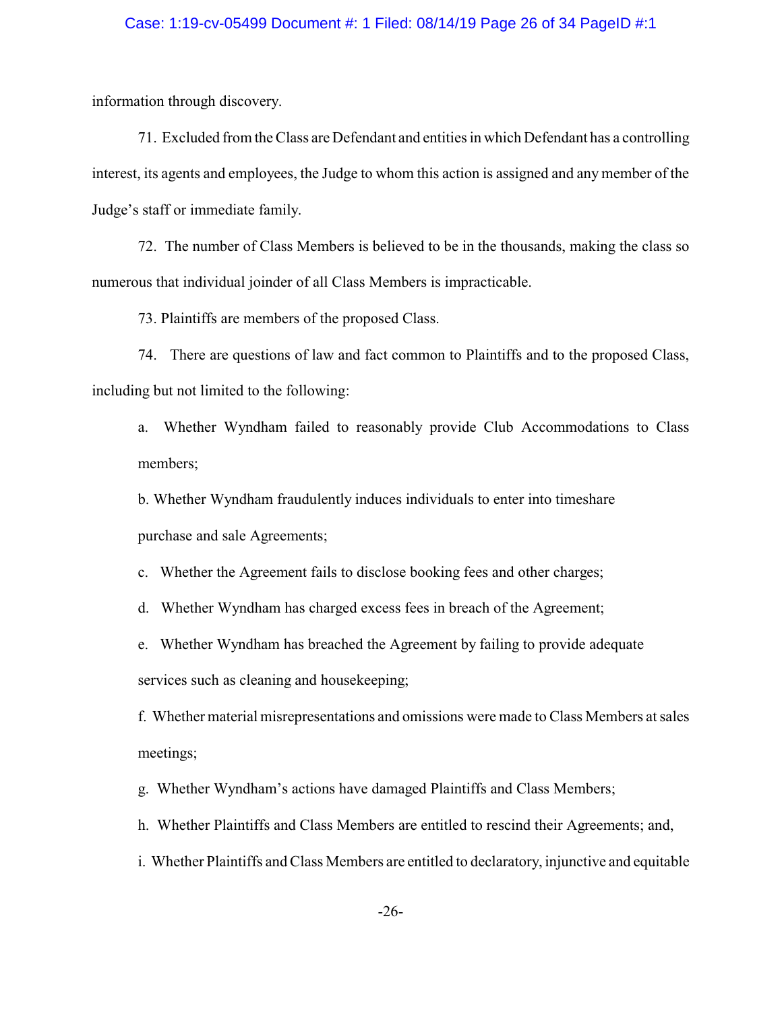### Case: 1:19-cv-05499 Document #: 1 Filed: 08/14/19 Page 26 of 34 PageID #:1

information through discovery.

71. Excluded from the Class are Defendant and entities in which Defendant has a controlling interest, its agents and employees, the Judge to whom this action is assigned and any member of the Judge's staff or immediate family.

72. The number of Class Members is believed to be in the thousands, making the class so numerous that individual joinder of all Class Members is impracticable.

73. Plaintiffs are members of the proposed Class.

74. There are questions of law and fact common to Plaintiffs and to the proposed Class, including but not limited to the following:

a. Whether Wyndham failed to reasonably provide Club Accommodations to Class members;

b. Whether Wyndham fraudulently induces individuals to enter into timeshare purchase and sale Agreements;

c. Whether the Agreement fails to disclose booking fees and other charges;

d. Whether Wyndham has charged excess fees in breach of the Agreement;

e. Whether Wyndham has breached the Agreement by failing to provide adequate services such as cleaning and housekeeping;

f. Whether material misrepresentations and omissions were made to Class Members at sales meetings;

g. Whether Wyndham's actions have damaged Plaintiffs and Class Members;

h. Whether Plaintiffs and Class Members are entitled to rescind their Agreements; and,

i. Whether Plaintiffs and Class Members are entitled to declaratory, injunctive and equitable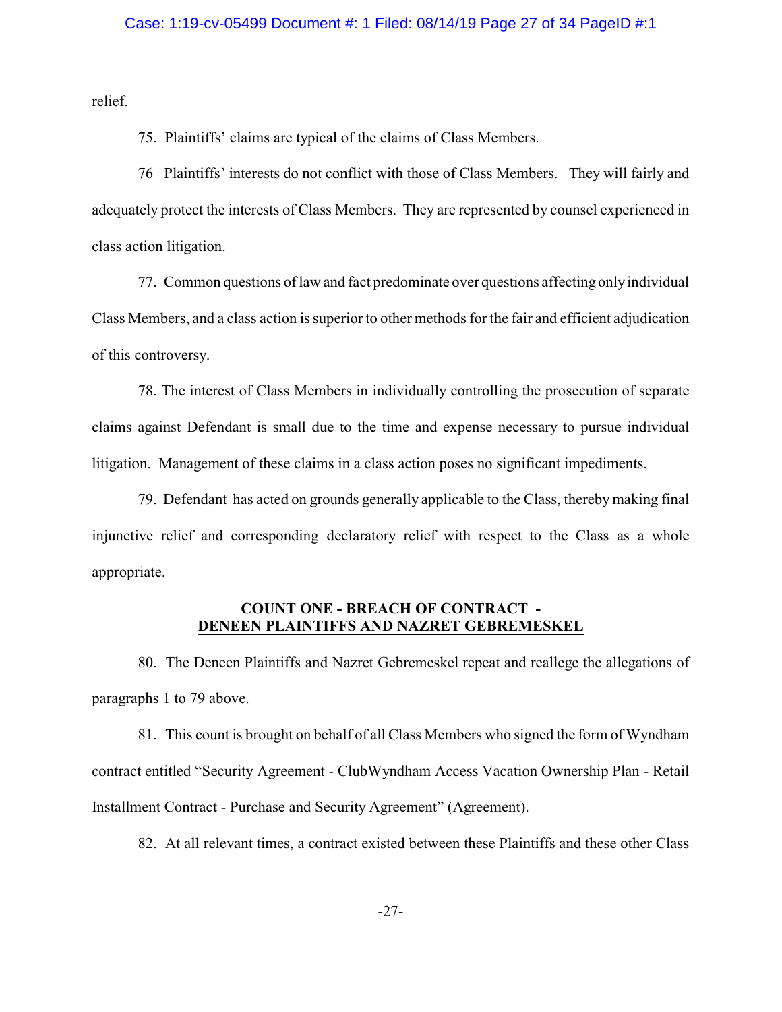### Case: 1:19-cv-05499 Document #: 1 Filed: 08/14/19 Page 27 of 34 PageID #:1

relief.

75. Plaintiffs' claims are typical of the claims of Class Members.

76 Plaintiffs' interests do not conflict with those of Class Members. They will fairly and adequately protect the interests of Class Members. They are represented by counsel experienced in class action litigation.

77. Common questions of law and fact predominate over questions affecting onlyindividual Class Members, and a class action is superior to other methods for the fair and efficient adjudication of this controversy.

78. The interest of Class Members in individually controlling the prosecution of separate claims against Defendant is small due to the time and expense necessary to pursue individual litigation. Management of these claims in a class action poses no significant impediments.

79. Defendant has acted on grounds generally applicable to the Class, thereby making final injunctive relief and corresponding declaratory relief with respect to the Class as a whole appropriate.

## **COUNT ONE - BREACH OF CONTRACT - DENEEN PLAINTIFFS AND NAZRET GEBREMESKEL**

80. The Deneen Plaintiffs and Nazret Gebremeskel repeat and reallege the allegations of paragraphs 1 to 79 above.

81. This count is brought on behalf of all Class Members who signed the form of Wyndham contract entitled "Security Agreement - ClubWyndham Access Vacation Ownership Plan - Retail Installment Contract - Purchase and Security Agreement" (Agreement).

82. At all relevant times, a contract existed between these Plaintiffs and these other Class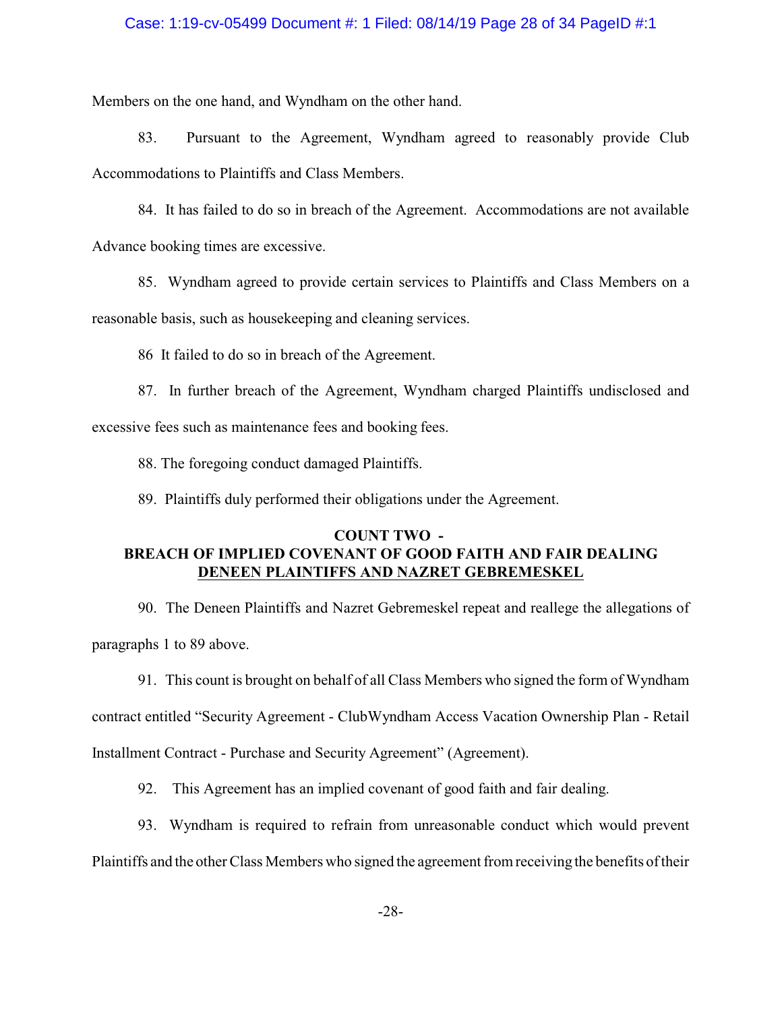### Case: 1:19-cv-05499 Document #: 1 Filed: 08/14/19 Page 28 of 34 PageID #:1

Members on the one hand, and Wyndham on the other hand.

83. Pursuant to the Agreement, Wyndham agreed to reasonably provide Club Accommodations to Plaintiffs and Class Members.

84. It has failed to do so in breach of the Agreement. Accommodations are not available Advance booking times are excessive.

85. Wyndham agreed to provide certain services to Plaintiffs and Class Members on a

reasonable basis, such as housekeeping and cleaning services.

86 It failed to do so in breach of the Agreement.

87. In further breach of the Agreement, Wyndham charged Plaintiffs undisclosed and excessive fees such as maintenance fees and booking fees.

88. The foregoing conduct damaged Plaintiffs.

89. Plaintiffs duly performed their obligations under the Agreement.

# **COUNT TWO - BREACH OF IMPLIED COVENANT OF GOOD FAITH AND FAIR DEALING DENEEN PLAINTIFFS AND NAZRET GEBREMESKEL**

90. The Deneen Plaintiffs and Nazret Gebremeskel repeat and reallege the allegations of paragraphs 1 to 89 above.

91. This count is brought on behalf of all Class Members who signed the form of Wyndham

contract entitled "Security Agreement - ClubWyndham Access Vacation Ownership Plan - Retail

Installment Contract - Purchase and Security Agreement" (Agreement).

92. This Agreement has an implied covenant of good faith and fair dealing.

93. Wyndham is required to refrain from unreasonable conduct which would prevent

Plaintiffs and the other Class Members who signed the agreement from receiving the benefits of their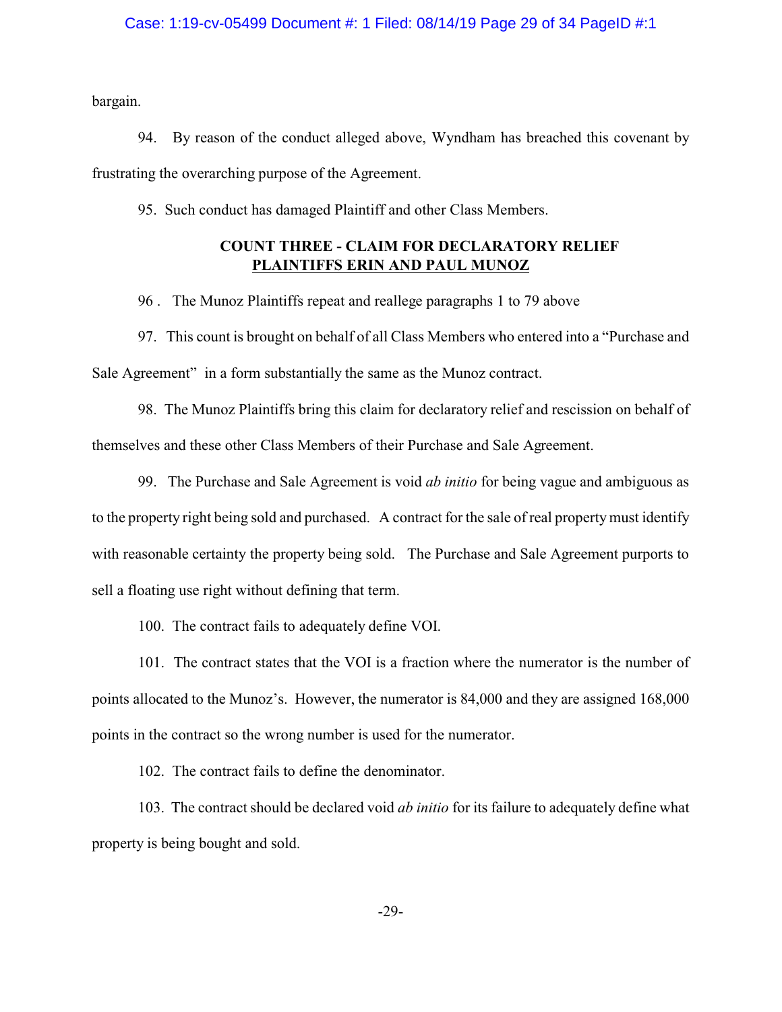### Case: 1:19-cv-05499 Document #: 1 Filed: 08/14/19 Page 29 of 34 PageID #:1

bargain.

94. By reason of the conduct alleged above, Wyndham has breached this covenant by frustrating the overarching purpose of the Agreement.

95. Such conduct has damaged Plaintiff and other Class Members.

# **COUNT THREE - CLAIM FOR DECLARATORY RELIEF PLAINTIFFS ERIN AND PAUL MUNOZ**

96 . The Munoz Plaintiffs repeat and reallege paragraphs 1 to 79 above

97. This count is brought on behalf of all Class Members who entered into a "Purchase and Sale Agreement" in a form substantially the same as the Munoz contract.

98. The Munoz Plaintiffs bring this claim for declaratory relief and rescission on behalf of themselves and these other Class Members of their Purchase and Sale Agreement.

99. The Purchase and Sale Agreement is void *ab initio* for being vague and ambiguous as to the property right being sold and purchased. A contract for the sale of real propertymust identify with reasonable certainty the property being sold. The Purchase and Sale Agreement purports to sell a floating use right without defining that term.

100. The contract fails to adequately define VOI.

101. The contract states that the VOI is a fraction where the numerator is the number of points allocated to the Munoz's. However, the numerator is 84,000 and they are assigned 168,000 points in the contract so the wrong number is used for the numerator.

102. The contract fails to define the denominator.

103. The contract should be declared void *ab initio* for its failure to adequately define what property is being bought and sold.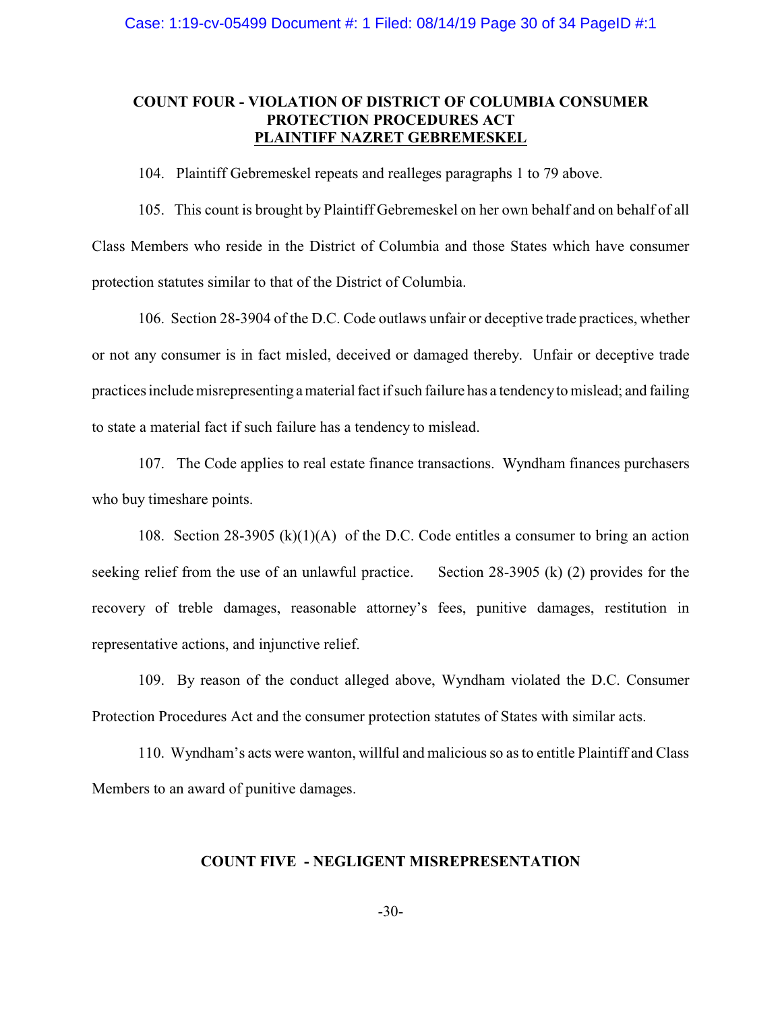## **COUNT FOUR - VIOLATION OF DISTRICT OF COLUMBIA CONSUMER PROTECTION PROCEDURES ACT PLAINTIFF NAZRET GEBREMESKEL**

104. Plaintiff Gebremeskel repeats and realleges paragraphs 1 to 79 above.

105. This count is brought by Plaintiff Gebremeskel on her own behalf and on behalf of all Class Members who reside in the District of Columbia and those States which have consumer protection statutes similar to that of the District of Columbia.

106. Section 28-3904 of the D.C. Code outlaws unfair or deceptive trade practices, whether or not any consumer is in fact misled, deceived or damaged thereby. Unfair or deceptive trade practices include misrepresenting amaterial fact if such failure has a tendencyto mislead; and failing to state a material fact if such failure has a tendency to mislead.

107. The Code applies to real estate finance transactions. Wyndham finances purchasers who buy timeshare points.

108. Section 28-3905 (k)(1)(A) of the D.C. Code entitles a consumer to bring an action seeking relief from the use of an unlawful practice. Section 28-3905 (k) (2) provides for the recovery of treble damages, reasonable attorney's fees, punitive damages, restitution in representative actions, and injunctive relief.

109. By reason of the conduct alleged above, Wyndham violated the D.C. Consumer Protection Procedures Act and the consumer protection statutes of States with similar acts.

110. Wyndham's acts were wanton, willful and malicious so as to entitle Plaintiff and Class Members to an award of punitive damages.

## **COUNT FIVE - NEGLIGENT MISREPRESENTATION**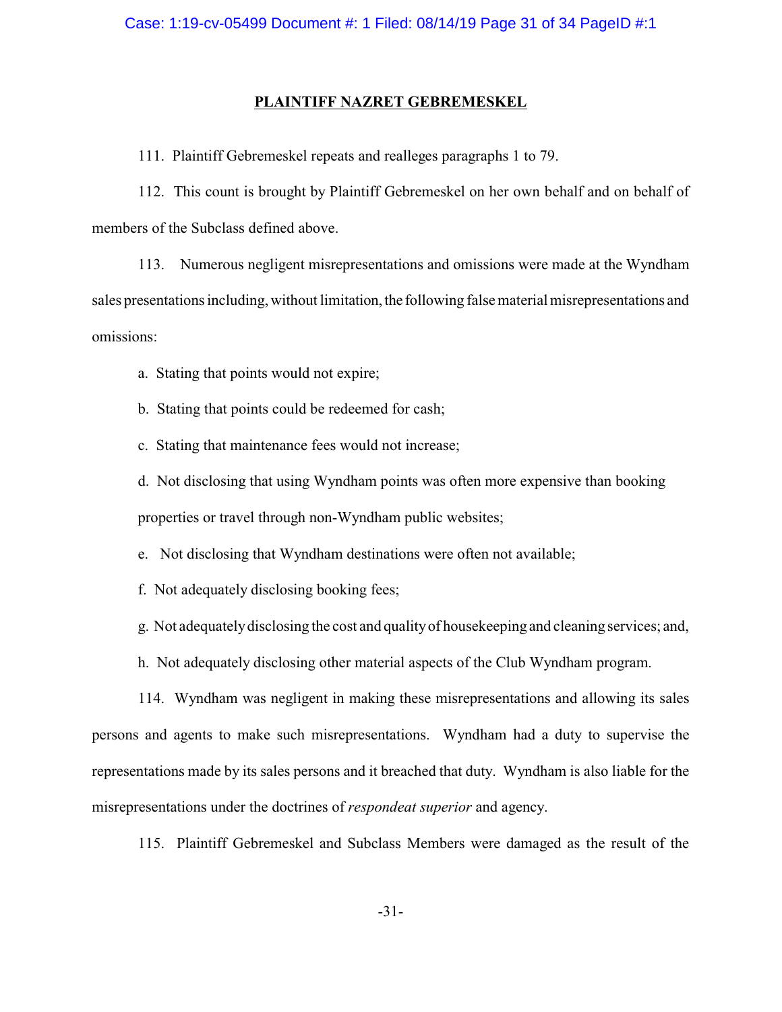#### **PLAINTIFF NAZRET GEBREMESKEL**

111. Plaintiff Gebremeskel repeats and realleges paragraphs 1 to 79.

112. This count is brought by Plaintiff Gebremeskel on her own behalf and on behalf of members of the Subclass defined above.

113. Numerous negligent misrepresentations and omissions were made at the Wyndham sales presentations including, without limitation, the following false material misrepresentations and omissions:

a. Stating that points would not expire;

b. Stating that points could be redeemed for cash;

c. Stating that maintenance fees would not increase;

d. Not disclosing that using Wyndham points was often more expensive than booking properties or travel through non-Wyndham public websites;

e. Not disclosing that Wyndham destinations were often not available;

f. Not adequately disclosing booking fees;

g. Not adequatelydisclosing the cost and qualityof housekeeping and cleaning services; and,

h. Not adequately disclosing other material aspects of the Club Wyndham program.

114. Wyndham was negligent in making these misrepresentations and allowing its sales persons and agents to make such misrepresentations. Wyndham had a duty to supervise the representations made by its sales persons and it breached that duty. Wyndham is also liable for the misrepresentations under the doctrines of *respondeat superior* and agency.

115. Plaintiff Gebremeskel and Subclass Members were damaged as the result of the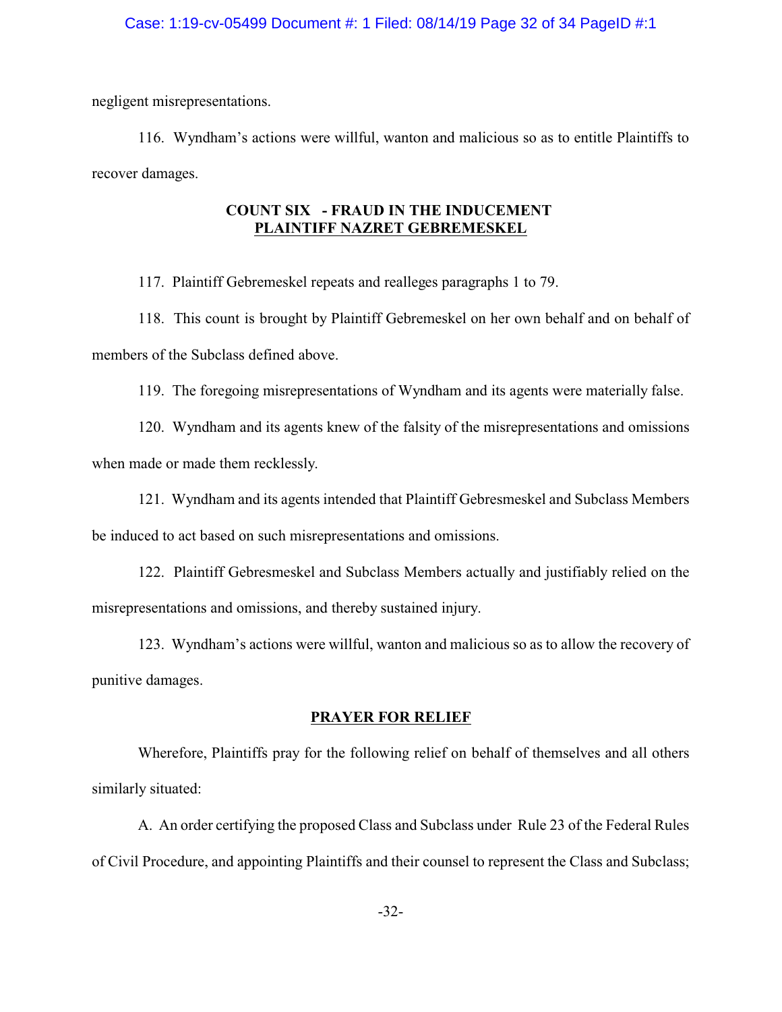### Case: 1:19-cv-05499 Document #: 1 Filed: 08/14/19 Page 32 of 34 PageID #:1

negligent misrepresentations.

116. Wyndham's actions were willful, wanton and malicious so as to entitle Plaintiffs to recover damages.

## **COUNT SIX - FRAUD IN THE INDUCEMENT PLAINTIFF NAZRET GEBREMESKEL**

117. Plaintiff Gebremeskel repeats and realleges paragraphs 1 to 79.

118. This count is brought by Plaintiff Gebremeskel on her own behalf and on behalf of members of the Subclass defined above.

119. The foregoing misrepresentations of Wyndham and its agents were materially false.

120. Wyndham and its agents knew of the falsity of the misrepresentations and omissions when made or made them recklessly.

121. Wyndham and its agents intended that Plaintiff Gebresmeskel and Subclass Members be induced to act based on such misrepresentations and omissions.

122. Plaintiff Gebresmeskel and Subclass Members actually and justifiably relied on the misrepresentations and omissions, and thereby sustained injury.

123. Wyndham's actions were willful, wanton and malicious so as to allow the recovery of punitive damages.

## **PRAYER FOR RELIEF**

Wherefore, Plaintiffs pray for the following relief on behalf of themselves and all others similarly situated:

A. An order certifying the proposed Class and Subclass under Rule 23 of the Federal Rules of Civil Procedure, and appointing Plaintiffs and their counsel to represent the Class and Subclass;

-32-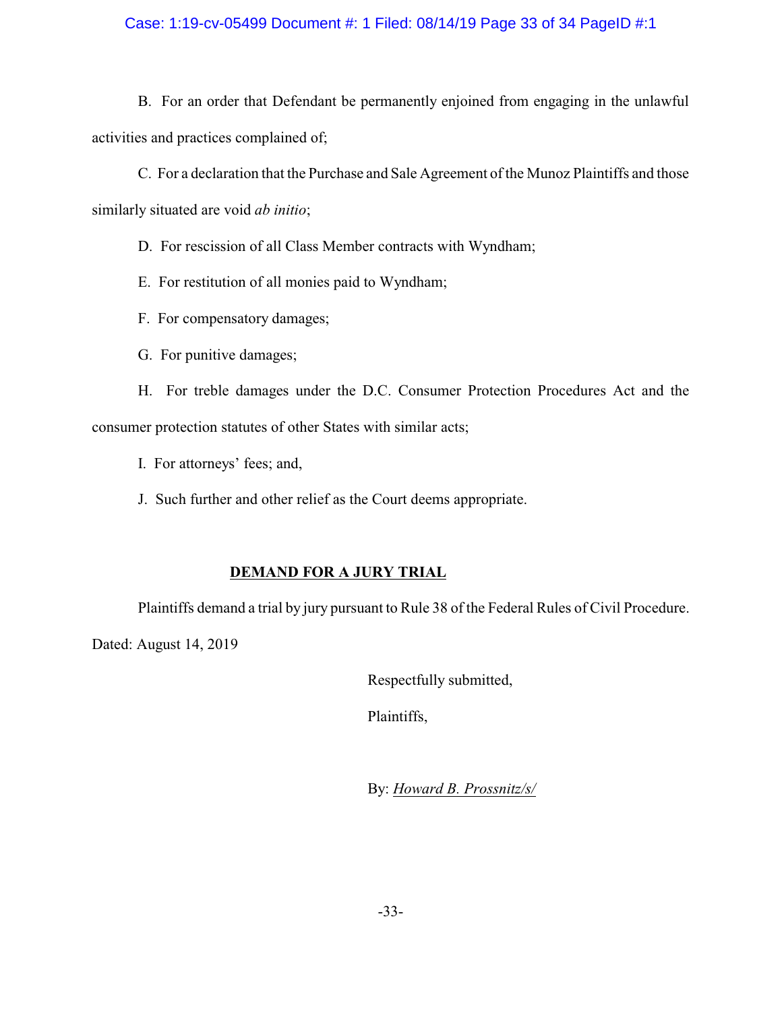## Case: 1:19-cv-05499 Document #: 1 Filed: 08/14/19 Page 33 of 34 PageID #:1

B. For an order that Defendant be permanently enjoined from engaging in the unlawful activities and practices complained of;

C. For a declaration that the Purchase and Sale Agreement of the Munoz Plaintiffs and those similarly situated are void *ab initio*;

D. For rescission of all Class Member contracts with Wyndham;

E. For restitution of all monies paid to Wyndham;

- F. For compensatory damages;
- G. For punitive damages;

H. For treble damages under the D.C. Consumer Protection Procedures Act and the consumer protection statutes of other States with similar acts;

- I. For attorneys' fees; and,
- J. Such further and other relief as the Court deems appropriate.

# **DEMAND FOR A JURY TRIAL**

Plaintiffs demand a trial by jury pursuant to Rule 38 of the Federal Rules of Civil Procedure.

Dated: August 14, 2019

Respectfully submitted,

Plaintiffs,

By: *Howard B. Prossnitz/s/*